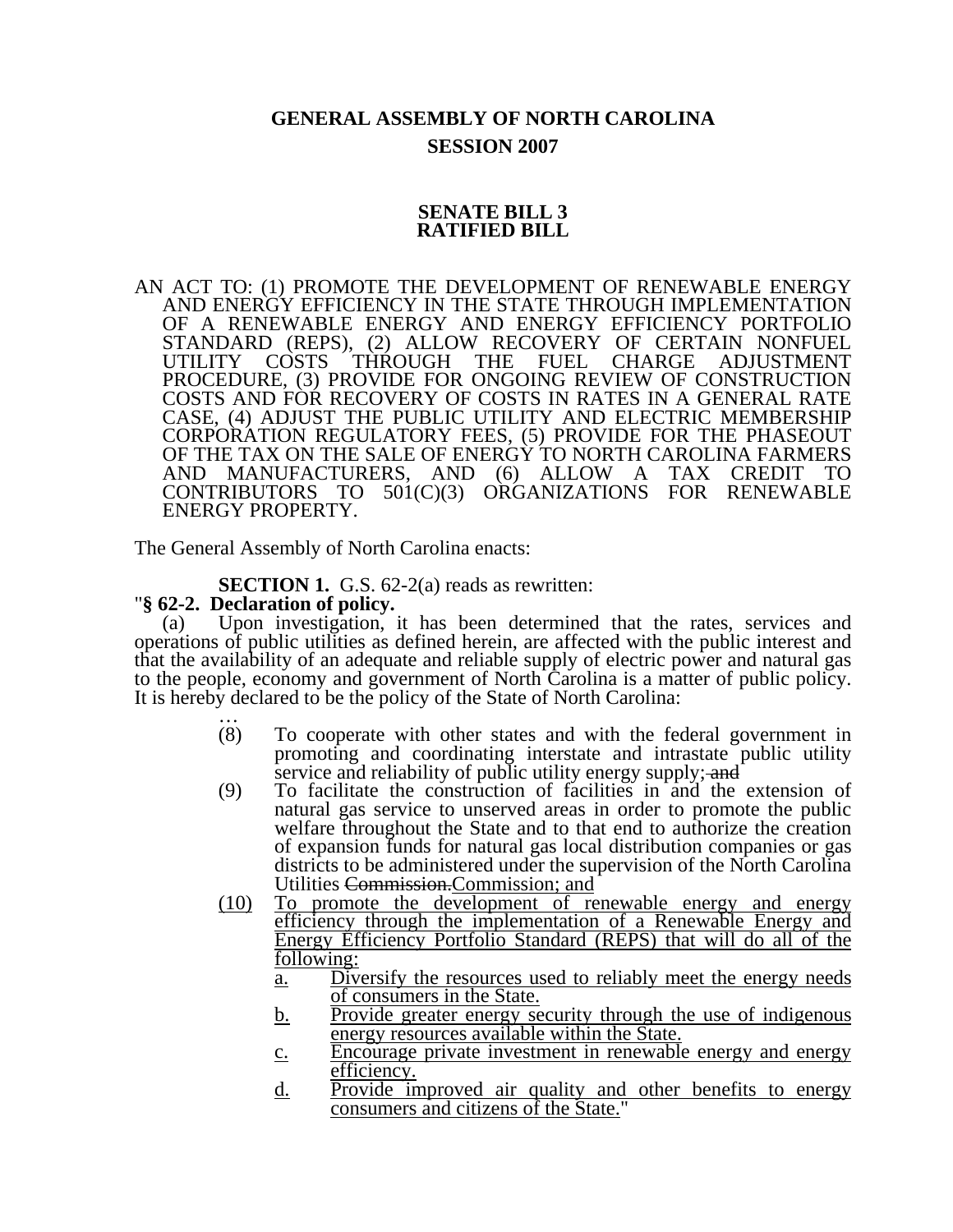# **GENERAL ASSEMBLY OF NORTH CAROLINA SESSION 2007**

## **SENATE BILL 3 RATIFIED BILL**

AN ACT TO: (1) PROMOTE THE DEVELOPMENT OF RENEWABLE ENERGY AND ENERGY EFFICIENCY IN THE STATE THROUGH IMPLEMENTATION OF A RENEWABLE ENERGY AND ENERGY EFFICIENCY PORTFOLIO STANDARD (REPS), (2) ALLOW RECOVERY OF CERTAIN NONFUEL UTILITY COSTS THROUGH THE FUEL CHARGE ADJUSTMENT PROCEDURE, (3) PROVIDE FOR ONGOING REVIEW OF CONSTRUCTION COSTS AND FOR RECOVERY OF COSTS IN RATES IN A GENERAL RATE CASE, (4) ADJUST THE PUBLIC UTILITY AND ELECTRIC MEMBERSHIP CORPORATION REGULATORY FEES, (5) PROVIDE FOR THE PHASEOUT OF THE TAX ON THE SALE OF ENERGY TO NORTH CAROLINA FARMERS AND MANUFACTURERS, AND (6) ALLOW A TAX CREDIT TO CONTRIBUTORS TO 501(C)(3) ORGANIZATIONS FOR RENEWABLE ENERGY PROPERTY.

The General Assembly of North Carolina enacts:

**SECTION 1.** G.S. 62-2(a) reads as rewritten: "§ 62-2. Declaration of policy.

(a) Upon investigation, it has been determined that the rates, services and operations of public utilities as defined herein, are affected with the public interest and that the availability of an adequate and reliable supply of electric power and natural gas to the people, economy and government of North Carolina is a matter of public policy. It is hereby declared to be the policy of the State of North Carolina:<br>  $(8)$  To cooperate with other states and with the fec

- To cooperate with other states and with the federal government in promoting and coordinating interstate and intrastate public utility service and reliability of public utility energy supply; and
- (9) To facilitate the construction of facilities in and the extension of natural gas service to unserved areas in order to promote the public welfare throughout the State and to that end to authorize the creation of expansion funds for natural gas local distribution companies or gas districts to be administered under the supervision of the North Carolina Utilities Commission.Commission; and
- (10) To promote the development of renewable energy and energy efficiency through the implementation of a Renewable Energy and Energy Efficiency Portfolio Standard (REPS) that will do all of the following:
	- a. Diversify the resources used to reliably meet the energy needs of consumers in the State.
	- b. Provide greater energy security through the use of indigenous energy resources available within the State.
	- c. Encourage private investment in renewable energy and energy efficiency.
	- d. Provide improved air quality and other benefits to energy consumers and citizens of the State."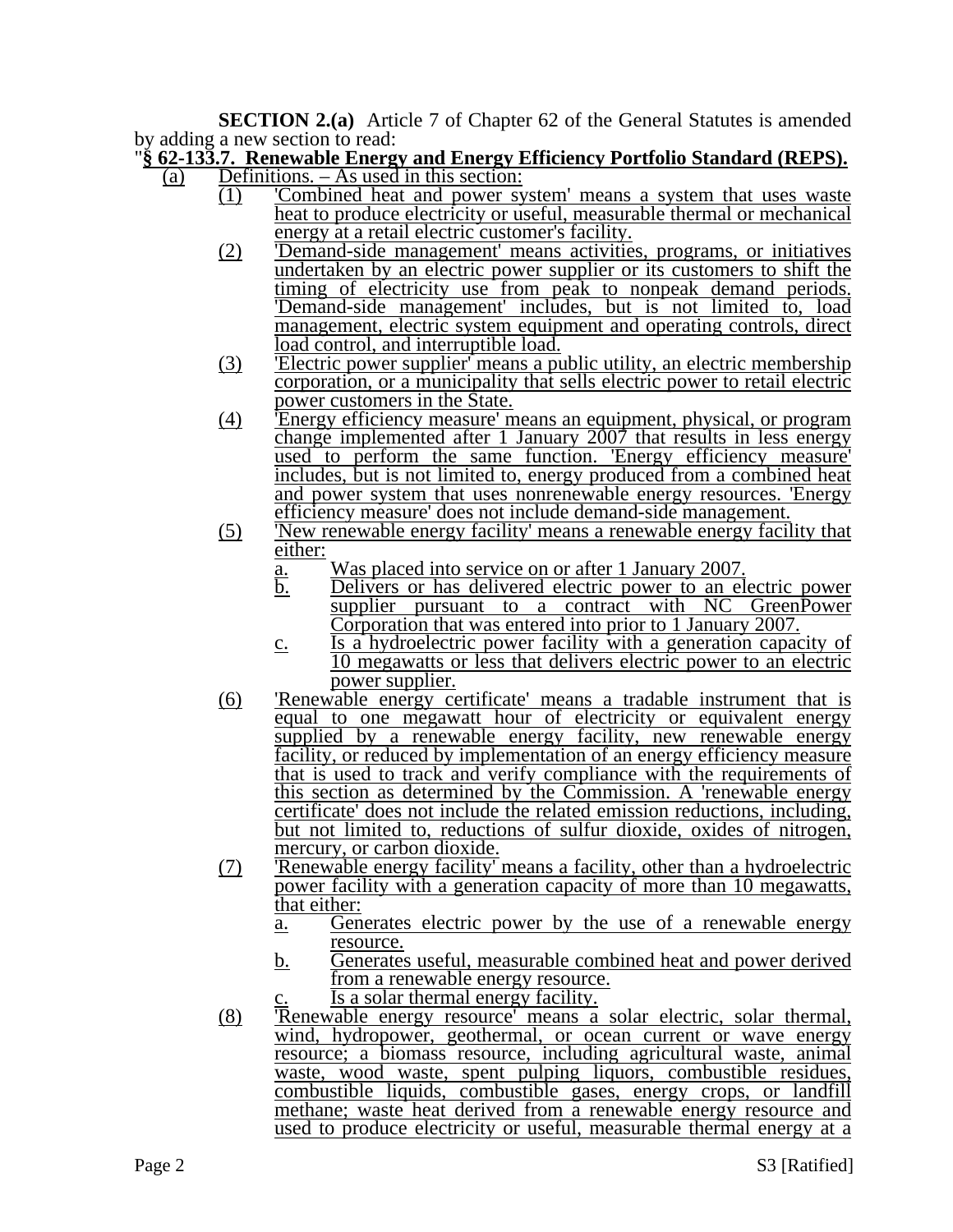**SECTION 2.(a)** Article 7 of Chapter 62 of the General Statutes is amended by adding a new section to read:

#### "**§ 62-133.7. Renewable Energy and Energy Efficiency Portfolio Standard (REPS).** (a) Definitions. – As used in this section:

- (1) 'Combined heat and power system' means a system that uses waste heat to produce electricity or useful, measurable thermal or mechanical energy at a retail electric customer's facility.
	- (2) 'Demand-side management' means activities, programs, or initiatives undertaken by an electric power supplier or its customers to shift the timing of electricity use from peak to nonpeak demand periods. 'Demand-side management' includes, but is not limited to, load management, electric system equipment and operating controls, direct load control, and interruptible load.
	- (3) 'Electric power supplier' means a public utility, an electric membership corporation, or a municipality that sells electric power to retail electric power customers in the State.
	- (4) 'Energy efficiency measure' means an equipment, physical, or program change implemented after 1 January 2007 that results in less energy used to perform the same function. 'Energy efficiency measure' includes, but is not limited to, energy produced from a combined heat and power system that uses nonrenewable energy resources. 'Energy efficiency measure' does not include demand-side management.
	- (5) 'New renewable energy facility' means a renewable energy facility that either:
		- a. Was placed into service on or after 1 January 2007.<br>b. Delivers or has delivered electric power to an electric
		- b. Delivers or has delivered electric power to an electric power supplier pursuant to a contract with NC GreenPower Corporation that was entered into prior to 1 January 2007.
		- c. Is a hydroelectric power facility with a generation capacity of 10 megawatts or less that delivers electric power to an electric power supplier.
	- (6) 'Renewable energy certificate' means a tradable instrument that is equal to one megawatt hour of electricity or equivalent energy supplied by a renewable energy facility, new renewable energy facility, or reduced by implementation of an energy efficiency measure that is used to track and verify compliance with the requirements of this section as determined by the Commission. A 'renewable energy certificate' does not include the related emission reductions, including, but not limited to, reductions of sulfur dioxide, oxides of nitrogen, mercury, or carbon dioxide.
	- (7) 'Renewable energy facility' means a facility, other than a hydroelectric power facility with a generation capacity of more than 10 megawatts, that either:
		- a. Generates electric power by the use of a renewable energy resource.
		- b. Generates useful, measurable combined heat and power derived from a renewable energy resource.

Is a solar thermal energy facility.

(8) 'Renewable energy resource' means a solar electric, solar thermal, wind, hydropower, geothermal, or ocean current or wave energy resource; a biomass resource, including agricultural waste, animal waste, wood waste, spent pulping liquors, combustible residues, combustible liquids, combustible gases, energy crops, or landfill methane; waste heat derived from a renewable energy resource and used to produce electricity or useful, measurable thermal energy at a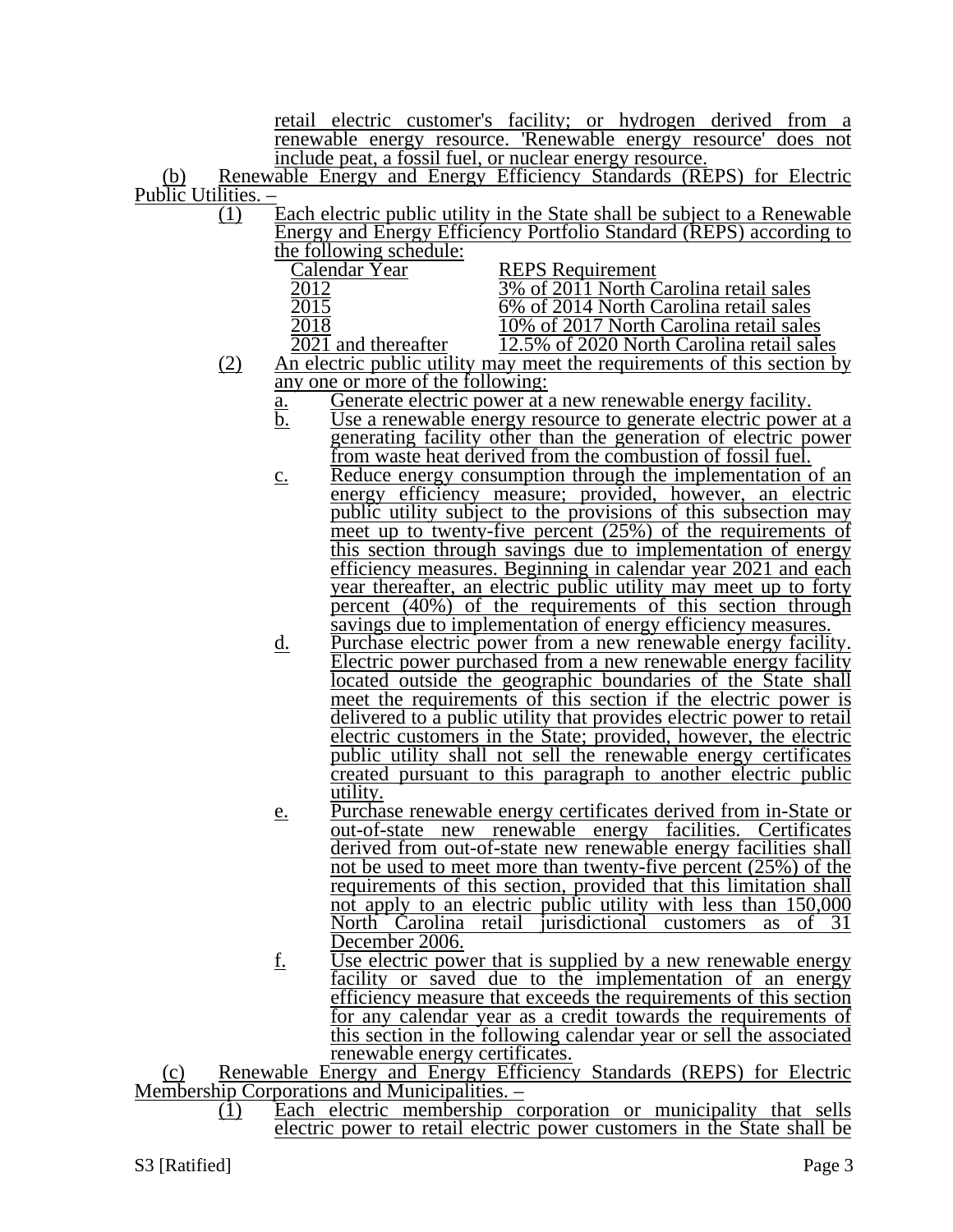retail electric customer's facility; or hydrogen derived from a renewable energy resource. 'Renewable energy resource' does not include peat, a fossil fuel, or nuclear energy resource.

(b) Renewable Energy and Energy Efficiency Standards (REPS) for Electric Public Utilities. –

 $\overline{(1)}$  Each electric public utility in the State shall be subject to a Renewable Energy and Energy Efficiency Portfolio Standard (REPS) according to the following schedule:

| <b>REPS</b> Requirement                   |
|-------------------------------------------|
| 3% of 2011 North Carolina retail sales    |
| 6% of 2014 North Carolina retail sales    |
| 10% of 2017 North Carolina retail sales   |
| 12.5% of 2020 North Carolina retail sales |
|                                           |

- (2) An electric public utility may meet the requirements of this section by any one or more of the following:
	- <u>a.</u> Generate electric power at a new renewable energy facility.<br>b. Use a renewable energy resource to generate electric power
	- Use a renewable energy resource to generate electric power at a generating facility other than the generation of electric power from waste heat derived from the combustion of fossil fuel.
	- c. Reduce energy consumption through the implementation of an energy efficiency measure; provided, however, an electric public utility subject to the provisions of this subsection may meet up to twenty-five percent (25%) of the requirements of this section through savings due to implementation of energy efficiency measures. Beginning in calendar year 2021 and each year thereafter, an electric public utility may meet up to forty percent (40%) of the requirements of this section through savings due to implementation of energy efficiency measures.
	- d. Purchase electric power from a new renewable energy facility. Electric power purchased from a new renewable energy facility located outside the geographic boundaries of the State shall meet the requirements of this section if the electric power is delivered to a public utility that provides electric power to retail electric customers in the State; provided, however, the electric public utility shall not sell the renewable energy certificates created pursuant to this paragraph to another electric public utility.
	- e. Purchase renewable energy certificates derived from in-State or out-of-state new renewable energy facilities. Certificates derived from out-of-state new renewable energy facilities shall not be used to meet more than twenty-five percent (25%) of the requirements of this section, provided that this limitation shall not apply to an electric public utility with less than 150,000 North Carolina retail jurisdictional customers as of 31 December 2006.
	- f. Use electric power that is supplied by a new renewable energy facility or saved due to the implementation of an energy efficiency measure that exceeds the requirements of this section for any calendar year as a credit towards the requirements of this section in the following calendar year or sell the associated renewable energy certificates.

(c) Renewable Energy and Energy Efficiency Standards (REPS) for Electric Membership Corporations and Municipalities. –

(1) Each electric membership corporation or municipality that sells electric power to retail electric power customers in the State shall be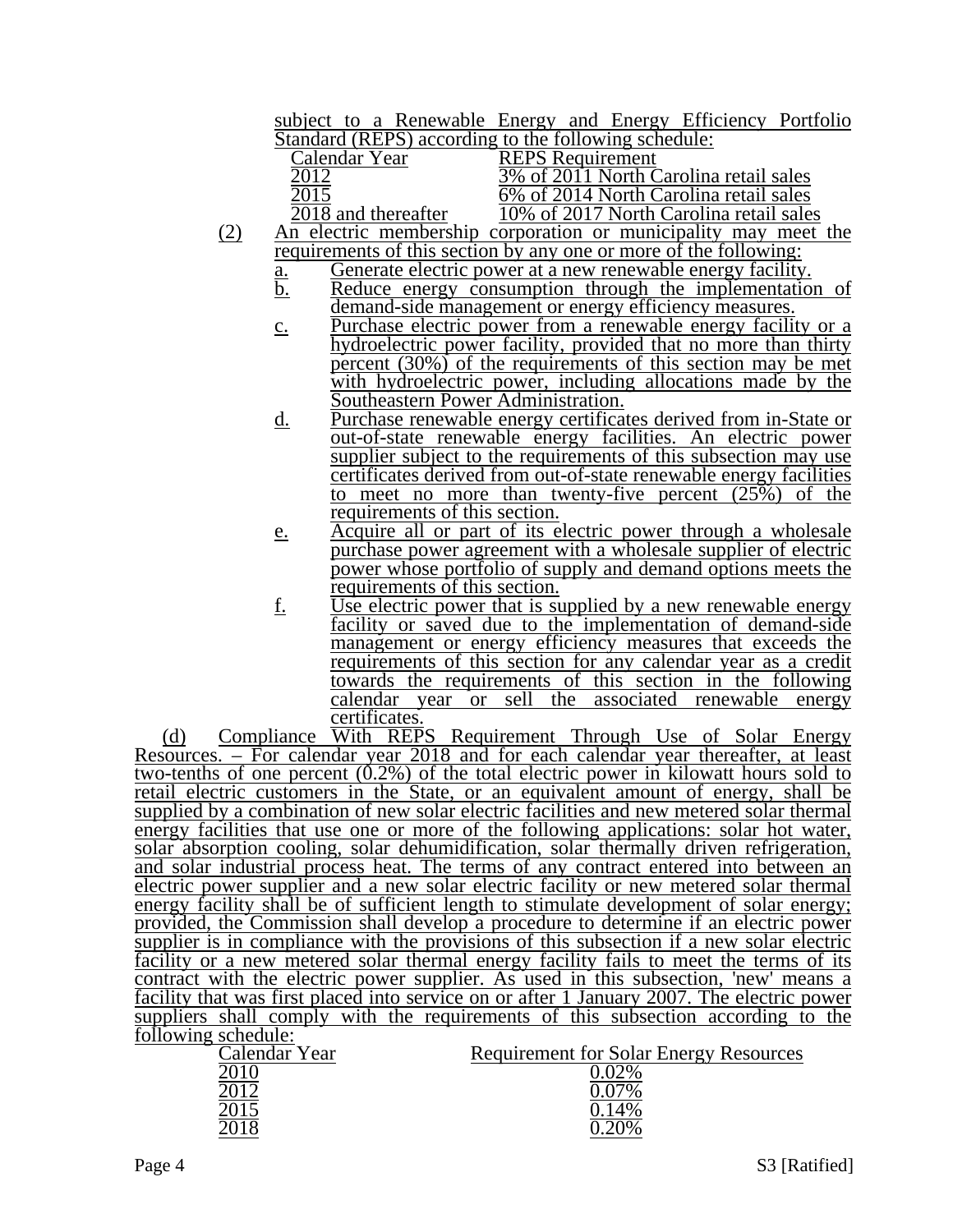subject to a Renewable Energy and Energy Efficiency Portfolio Standard (REPS) according to the following schedule:

| Calendar Year       | <b>REPS</b> Requirement                                         |
|---------------------|-----------------------------------------------------------------|
|                     | 3% of 2011 North Carolina retail sales                          |
|                     | 6% of 2014 North Carolina retail sales                          |
| 2018 and thereafter | 10% of 2017 North Carolina retail sales                         |
|                     | An electric membership corporation or municipality may meet the |

- requirements of this section by any one or more of the following:
	- a. Generate electric power at a new renewable energy facility.<br>b. Reduce energy consumption through the implementation Reduce energy consumption through the implementation of demand-side management or energy efficiency measures.
	- c. Purchase electric power from a renewable energy facility or a hydroelectric power facility, provided that no more than thirty percent  $(30\%)$  of the requirements of this section may be met with hydroelectric power, including allocations made by the Southeastern Power Administration.
	- d. Purchase renewable energy certificates derived from in-State or out-of-state renewable energy facilities. An electric power supplier subject to the requirements of this subsection may use certificates derived from out-of-state renewable energy facilities to meet no more than twenty-five percent  $(25\%)$  of the requirements of this section.
	- e. Acquire all or part of its electric power through a wholesale purchase power agreement with a wholesale supplier of electric power whose portfolio of supply and demand options meets the requirements of this section.
	- f. Use electric power that is supplied by a new renewable energy facility or saved due to the implementation of demand-side management or energy efficiency measures that exceeds the requirements of this section for any calendar year as a credit towards the requirements of this section in the following calendar year or sell the associated renewable energy certificates.

(d) Compliance With REPS Requirement Through Use of Solar Energy Resources. – For calendar year 2018 and for each calendar year thereafter, at least two-tenths of one percent  $(0.2\%)$  of the total electric power in kilowatt hours sold to retail electric customers in the State, or an equivalent amount of energy, shall be supplied by a combination of new solar electric facilities and new metered solar thermal energy facilities that use one or more of the following applications: solar hot water, solar absorption cooling, solar dehumidification, solar thermally driven refrigeration, and solar industrial process heat. The terms of any contract entered into between an electric power supplier and a new solar electric facility or new metered solar thermal energy facility shall be of sufficient length to stimulate development of solar energy; provided, the Commission shall develop a procedure to determine if an electric power supplier is in compliance with the provisions of this subsection if a new solar electric facility or a new metered solar thermal energy facility fails to meet the terms of its contract with the electric power supplier. As used in this subsection, 'new' means a facility that was first placed into service on or after 1 January 2007. The electric power suppliers shall comply with the requirements of this subsection according to the following schedule:

| Calendar Year | <b>Requirement for Solar Energy Resources</b> |
|---------------|-----------------------------------------------|
|               | റാം⁄                                          |
|               |                                               |
|               |                                               |
|               |                                               |
|               |                                               |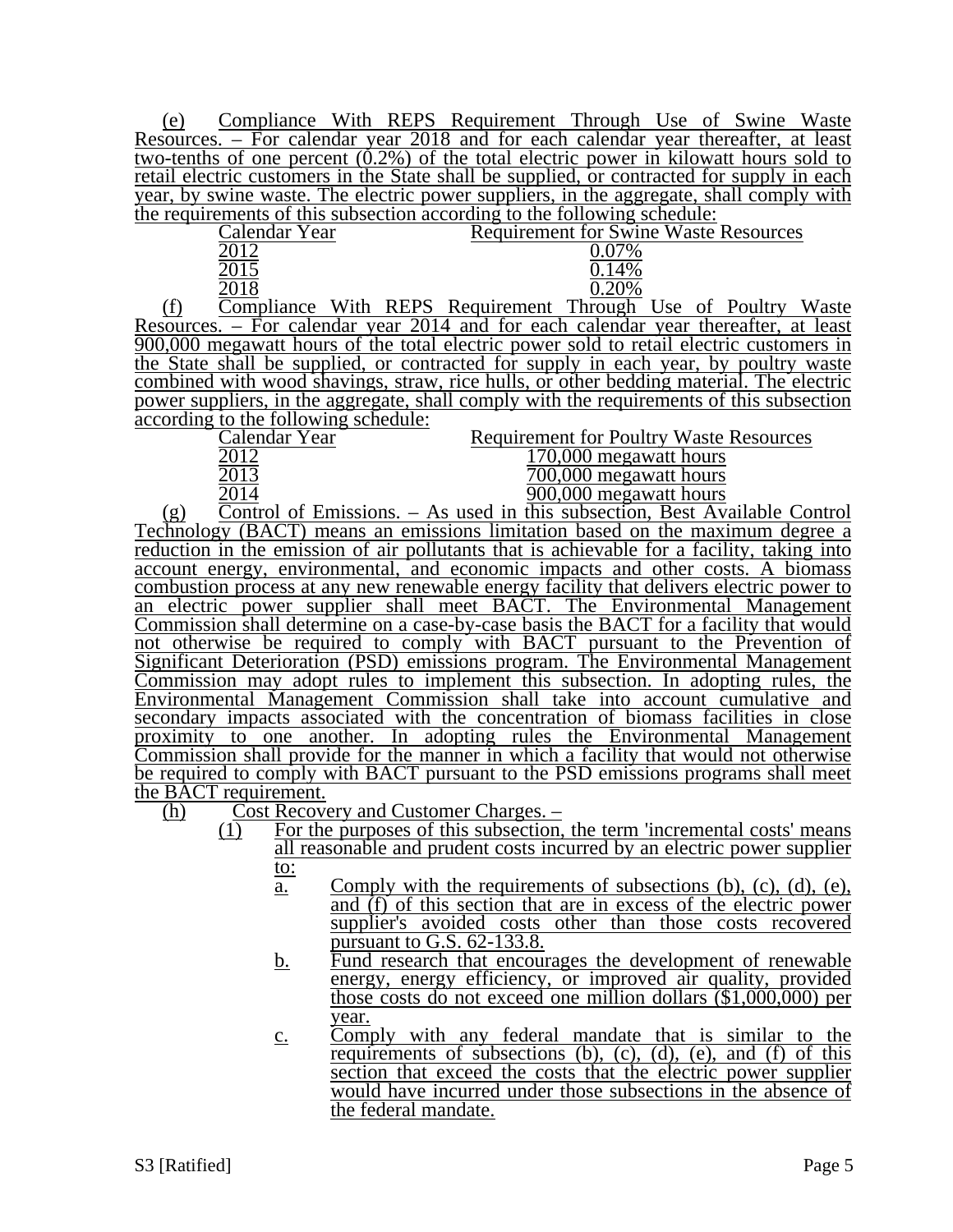(e) Compliance With REPS Requirement Through Use of Swine Waste Resources. – For calendar year 2018 and for each calendar year thereafter, at least two-tenths of one percent  $(0.2\%)$  of the total electric power in kilowatt hours sold to retail electric customers in the State shall be supplied, or contracted for supply in each year, by swine waste. The electric power suppliers, in the aggregate, shall comply with the requirements of this subsection according to the following schedule:

|        | Calendar Year |               |             |  | <b>Requirement for Swine Waste Resources</b> |  |  |  |
|--------|---------------|---------------|-------------|--|----------------------------------------------|--|--|--|
|        |               |               |             |  |                                              |  |  |  |
|        |               |               |             |  |                                              |  |  |  |
|        |               |               |             |  |                                              |  |  |  |
| $\sim$ |               | <b>TTT'.1</b> | <b>DEDC</b> |  | $\blacksquare$                               |  |  |  |

(f) Compliance With REPS Requirement Through Use of Poultry Waste Resources. – For calendar year 2014 and for each calendar year thereafter, at least 900,000 megawatt hours of the total electric power sold to retail electric customers in the State shall be supplied, or contracted for supply in each year, by poultry waste combined with wood shavings, straw, rice hulls, or other bedding material. The electric power suppliers, in the aggregate, shall comply with the requirements of this subsection according to the following schedule:<br>Calendar Year

Calendar Year Requirement for Poultry Waste Resources<br>2012 170.000 megawatt hours

| 2012  | 170,000 megawatt hours   |
|-------|--------------------------|
| 2013  | 700,000 megawatt hours   |
| . 011 | $000.000$ moggyptt hours |

2014 2014 2015 900,000 megawatt hours (g) Control of Emissions. – As used in this subsection, Best Available Control Technology (BACT) means an emissions limitation based on the maximum degree a reduction in the emission of air pollutants that is achievable for a facility, taking into account energy, environmental, and economic impacts and other costs. A biomass combustion process at any new renewable energy facility that delivers electric power to an electric power supplier shall meet BACT. The Environmental Management Commission shall determine on a case-by-case basis the BACT for a facility that would not otherwise be required to comply with BACT pursuant to the Prevention of Significant Deterioration (PSD) emissions program. The Environmental Management Commission may adopt rules to implement this subsection. In adopting rules, the Environmental Management Commission shall take into account cumulative and secondary impacts associated with the concentration of biomass facilities in close proximity to one another. In adopting rules the Environmental Management Commission shall provide for the manner in which a facility that would not otherwise be required to comply with BACT pursuant to the PSD emissions programs shall meet the BACT requirement.

(h) Cost Recovery and Customer Charges. –

- $\overline{(1)}$  For the purposes of this subsection, the term 'incremental costs' means all reasonable and prudent costs incurred by an electric power supplier to:
	- a. Comply with the requirements of subsections (b), (c), (d), (e), and (f) of this section that are in excess of the electric power supplier's avoided costs other than those costs recovered pursuant to G.S. 62-133.8.
	- b. Fund research that encourages the development of renewable energy, energy efficiency, or improved air quality, provided those costs do not exceed one million dollars (\$1,000,000) per year.
	- c. Comply with any federal mandate that is similar to the requirements of subsections  $(b)$ ,  $(c)$ ,  $(d)$ ,  $(e)$ , and  $(f)$  of this section that exceed the costs that the electric power supplier would have incurred under those subsections in the absence of the federal mandate.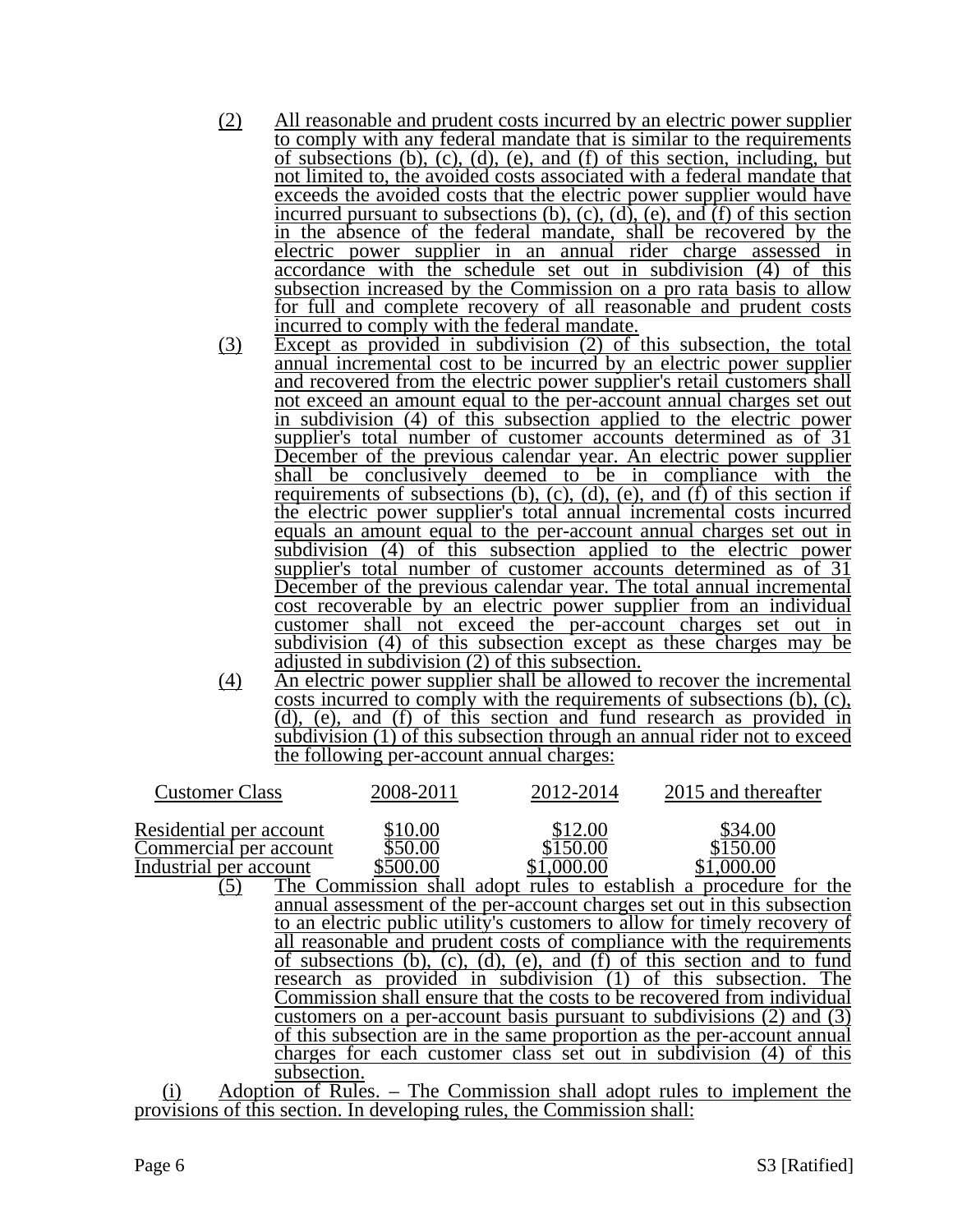- (2) All reasonable and prudent costs incurred by an electric power supplier to comply with any federal mandate that is similar to the requirements of subsections (b), (c), (d), (e), and (f) of this section, including, but not limited to, the avoided costs associated with a federal mandate that exceeds the avoided costs that the electric power supplier would have incurred pursuant to subsections (b), (c), (d), (e), and  $\hat{f}$  of this section in the absence of the federal mandate, shall be recovered by the electric power supplier in an annual rider charge assessed in accordance with the schedule set out in subdivision (4) of this subsection increased by the Commission on a pro rata basis to allow for full and complete recovery of all reasonable and prudent costs incurred to comply with the federal mandate.
- (3) Except as provided in subdivision (2) of this subsection, the total annual incremental cost to be incurred by an electric power supplier and recovered from the electric power supplier's retail customers shall not exceed an amount equal to the per-account annual charges set out in subdivision (4) of this subsection applied to the electric power supplier's total number of customer accounts determined as of 31 December of the previous calendar year. An electric power supplier shall be conclusively deemed to be in compliance with the requirements of subsections (b), (c), (d), (e), and (f) of this section if the electric power supplier's total annual incremental costs incurred equals an amount equal to the per-account annual charges set out in subdivision (4) of this subsection applied to the electric power supplier's total number of customer accounts determined as of 31 December of the previous calendar year. The total annual incremental cost recoverable by an electric power supplier from an individual customer shall not exceed the per-account charges set out in subdivision (4) of this subsection except as these charges may be adjusted in subdivision (2) of this subsection.
- (4) An electric power supplier shall be allowed to recover the incremental costs incurred to comply with the requirements of subsections (b), (c), (d), (e), and (f) of this section and fund research as provided in subdivision (1) of this subsection through an annual rider not to exceed the following per-account annual charges:

| <b>Customer Class</b>   | 2008-2011                                              | 2012-2014  | 2015 and thereafter                                                       |
|-------------------------|--------------------------------------------------------|------------|---------------------------------------------------------------------------|
| Residential per account | \$10.00                                                | \$12.00    | \$34.00                                                                   |
| Commercial per account  | \$50.00                                                | \$150.00   | \$150.00                                                                  |
| Industrial per account  | \$500.00                                               | \$1,000.00 | \$1,000.00                                                                |
| (5)                     |                                                        |            | The Commission shall adopt rules to establish a procedure for the         |
|                         |                                                        |            | annual assessment of the per-account charges set out in this subsection   |
|                         |                                                        |            | to an electric public utility's customers to allow for timely recovery of |
|                         |                                                        |            | all reasonable and prudent costs of compliance with the requirements      |
|                         |                                                        |            | of subsections (b), (c), (d), (e), and (f) of this section and to fund    |
|                         | research as provided in subdivision (1)                |            | of this subsection. The                                                   |
|                         |                                                        |            | Commission shall ensure that the costs to be recovered from individual    |
|                         |                                                        |            | customers on a per-account basis pursuant to subdivisions (2) and (3)     |
|                         |                                                        |            | of this subsection are in the same proportion as the per-account annual   |
|                         | charges for each customer class set out in subdivision |            | of this                                                                   |
|                         | subsection.                                            |            |                                                                           |
| $\lambda$ .             | $c_{\rm D}$ 1                                          |            |                                                                           |

(i) Adoption of Rules. – The Commission shall adopt rules to implement the provisions of this section. In developing rules, the Commission shall: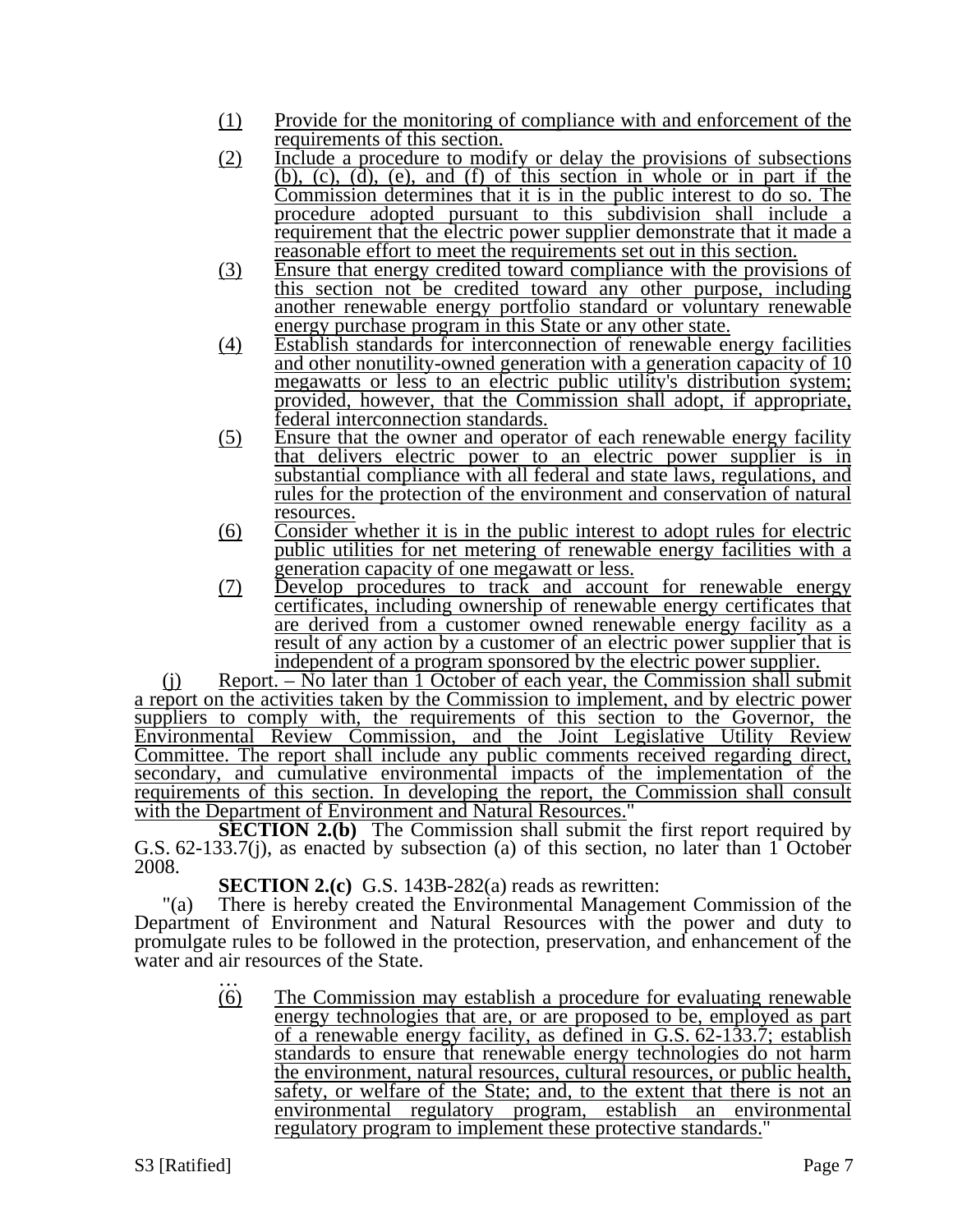- (1) Provide for the monitoring of compliance with and enforcement of the requirements of this section.
- (2) Include a procedure to modify or delay the provisions of subsections (b), (c), (d), (e), and (f) of this section in whole or in part if the Commission determines that it is in the public interest to do so. The procedure adopted pursuant to this subdivision shall include a requirement that the electric power supplier demonstrate that it made a reasonable effort to meet the requirements set out in this section.
- (3) Ensure that energy credited toward compliance with the provisions of this section not be credited toward any other purpose, including another renewable energy portfolio standard or voluntary renewable energy purchase program in this State or any other state.
- (4) Establish standards for interconnection of renewable energy facilities and other nonutility-owned generation with a generation capacity of 10 megawatts or less to an electric public utility's distribution system; provided, however, that the Commission shall adopt, if appropriate, federal interconnection standards.
- (5) Ensure that the owner and operator of each renewable energy facility that delivers electric power to an electric power supplier is in substantial compliance with all federal and state laws, regulations, and rules for the protection of the environment and conservation of natural resources.
- (6) Consider whether it is in the public interest to adopt rules for electric public utilities for net metering of renewable energy facilities with a generation capacity of one megawatt or less.
- (7) Develop procedures to track and account for renewable energy certificates, including ownership of renewable energy certificates that are derived from a customer owned renewable energy facility as a result of any action by a customer of an electric power supplier that is independent of a program sponsored by the electric power supplier.

(j) Report. – No later than 1 October of each year, the Commission shall submit a report on the activities taken by the Commission to implement, and by electric power suppliers to comply with, the requirements of this section to the Governor, the Environmental Review Commission, and the Joint Legislative Utility Review Committee. The report shall include any public comments received regarding direct, secondary, and cumulative environmental impacts of the implementation of the requirements of this section. In developing the report, the Commission shall consult with the Department of Environment and Natural Resources."

**SECTION 2.(b)** The Commission shall submit the first report required by G.S. 62-133.7(j), as enacted by subsection (a) of this section, no later than 1 October 2008.

**SECTION 2.(c)** G.S. 143B-282(a) reads as rewritten:

"(a) There is hereby created the Environmental Management Commission of the Department of Environment and Natural Resources with the power and duty to promulgate rules to be followed in the protection, preservation, and enhancement of the water and air resources of the State.<br>
...<br>
(6) The Commission 1

The Commission may establish a procedure for evaluating renewable energy technologies that are, or are proposed to be, employed as part of a renewable energy facility, as defined in G.S. 62-133.7; establish standards to ensure that renewable energy technologies do not harm the environment, natural resources, cultural resources, or public health, safety, or welfare of the State; and, to the extent that there is not an environmental regulatory program, establish an environmental regulatory program to implement these protective standards."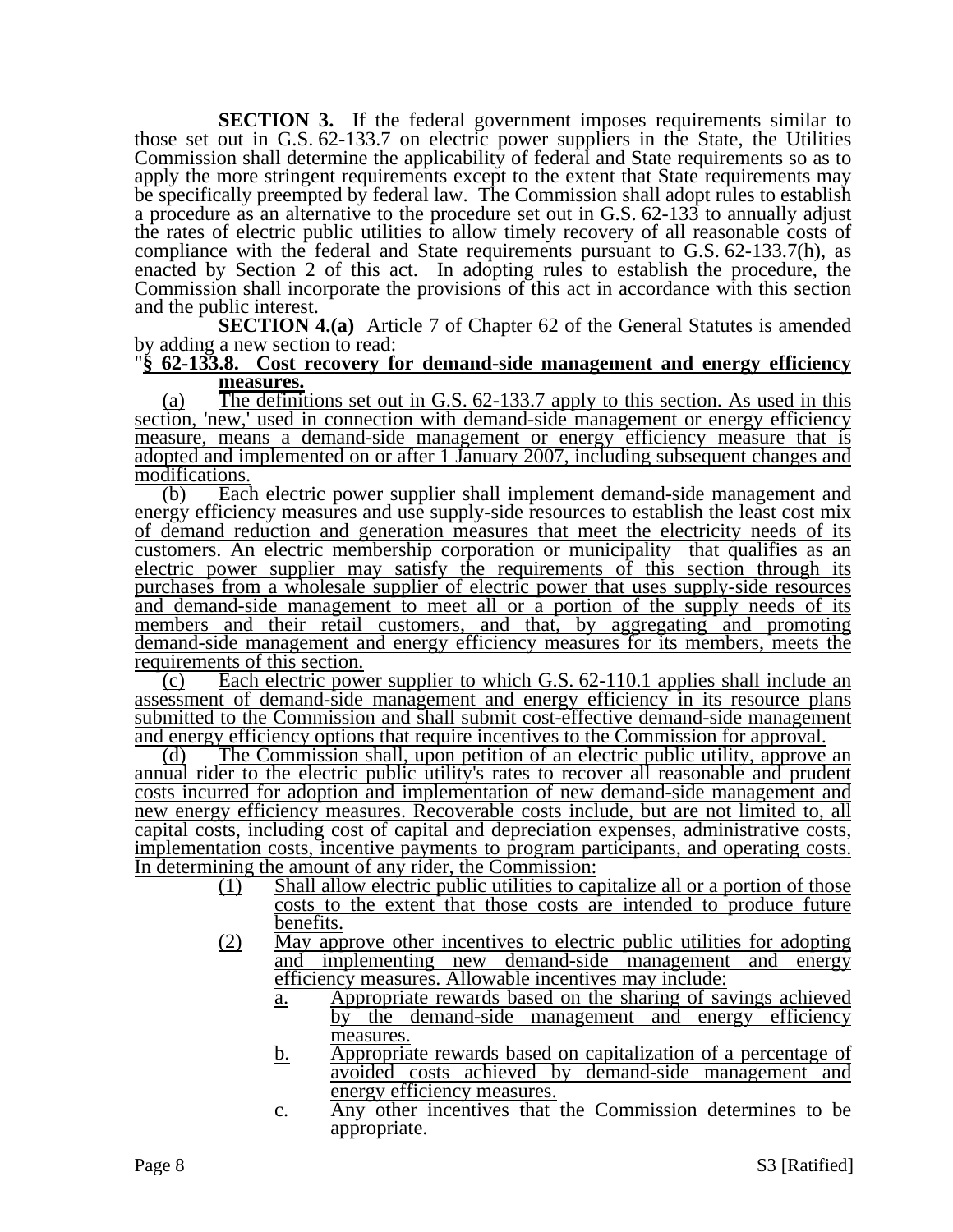**SECTION 3.** If the federal government imposes requirements similar to those set out in G.S. 62-133.7 on electric power suppliers in the State, the Utilities Commission shall determine the applicability of federal and State requirements so as to apply the more stringent requirements except to the extent that State requirements may be specifically preempted by federal law. The Commission shall adopt rules to establish a procedure as an alternative to the procedure set out in G.S. 62-133 to annually adjust the rates of electric public utilities to allow timely recovery of all reasonable costs of compliance with the federal and State requirements pursuant to G.S. 62-133.7(h), as enacted by Section 2 of this act. In adopting rules to establish the procedure, the Commission shall incorporate the provisions of this act in accordance with this section and the public interest.

**SECTION 4.(a)** Article 7 of Chapter 62 of the General Statutes is amended by adding a new section to read:

#### "**§ 62-133.8. Cost recovery for demand-side management and energy efficiency measures.**

(a) The definitions set out in G.S. 62-133.7 apply to this section. As used in this section, 'new,' used in connection with demand-side management or energy efficiency measure, means a demand-side management or energy efficiency measure that is adopted and implemented on or after 1 January 2007, including subsequent changes and modifications.

(b) Each electric power supplier shall implement demand-side management and energy efficiency measures and use supply-side resources to establish the least cost mix of demand reduction and generation measures that meet the electricity needs of its customers. An electric membership corporation or municipality that qualifies as an electric power supplier may satisfy the requirements of this section through its purchases from a wholesale supplier of electric power that uses supply-side resources and demand-side management to meet all or a portion of the supply needs of its members and their retail customers, and that, by aggregating and promoting demand-side management and energy efficiency measures for its members, meets the requirements of this section.

(c) Each electric power supplier to which G.S. 62-110.1 applies shall include an assessment of demand-side management and energy efficiency in its resource plans submitted to the Commission and shall submit cost-effective demand-side management and energy efficiency options that require incentives to the Commission for approval.

(d) The Commission shall, upon petition of an electric public utility, approve an annual rider to the electric public utility's rates to recover all reasonable and prudent costs incurred for adoption and implementation of new demand-side management and new energy efficiency measures. Recoverable costs include, but are not limited to, all capital costs, including cost of capital and depreciation expenses, administrative costs, implementation costs, incentive payments to program participants, and operating costs. In determining the amount of any rider, the Commission:

- (1) Shall allow electric public utilities to capitalize all or a portion of those costs to the extent that those costs are intended to produce future benefits.
- (2) May approve other incentives to electric public utilities for adopting and implementing new demand-side management and energy efficiency measures. Allowable incentives may include:
	- a. Appropriate rewards based on the sharing of savings achieved by the demand-side management and energy efficiency measures.
	- b. Appropriate rewards based on capitalization of a percentage of avoided costs achieved by demand-side management and energy efficiency measures.
	- c. Any other incentives that the Commission determines to be appropriate.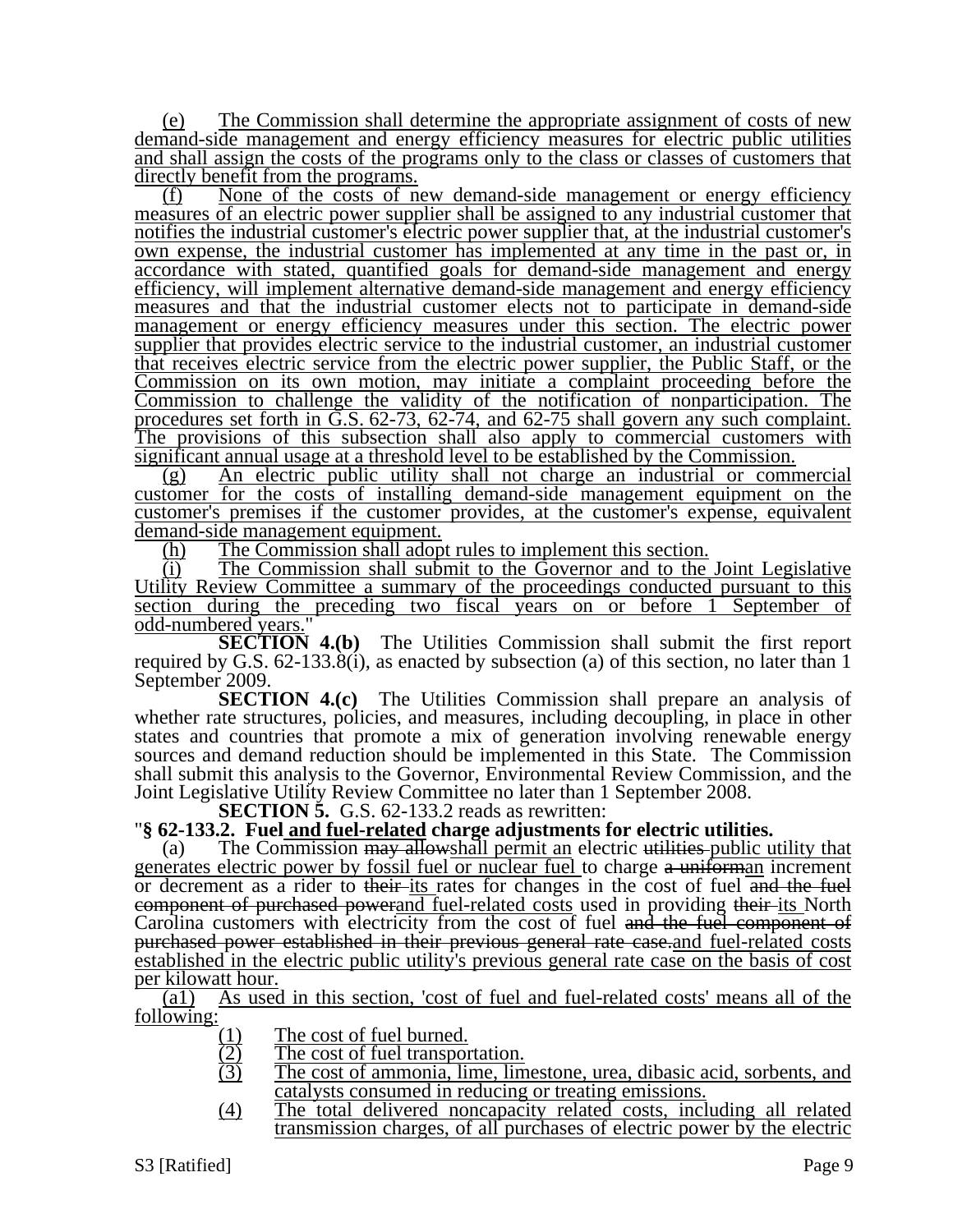(e) The Commission shall determine the appropriate assignment of costs of new demand-side management and energy efficiency measures for electric public utilities and shall assign the costs of the programs only to the class or classes of customers that directly benefit from the programs.

(f) None of the costs of new demand-side management or energy efficiency measures of an electric power supplier shall be assigned to any industrial customer that notifies the industrial customer's electric power supplier that, at the industrial customer's own expense, the industrial customer has implemented at any time in the past or, in accordance with stated, quantified goals for demand-side management and energy efficiency, will implement alternative demand-side management and energy efficiency measures and that the industrial customer elects not to participate in demand-side management or energy efficiency measures under this section. The electric power supplier that provides electric service to the industrial customer, an industrial customer that receives electric service from the electric power supplier, the Public Staff, or the Commission on its own motion, may initiate a complaint proceeding before the Commission to challenge the validity of the notification of nonparticipation. The procedures set forth in G.S. 62-73, 62-74, and 62-75 shall govern any such complaint. The provisions of this subsection shall also apply to commercial customers with significant annual usage at a threshold level to be established by the Commission.

(g) An electric public utility shall not charge an industrial or commercial customer for the costs of installing demand-side management equipment on the customer's premises if the customer provides, at the customer's expense, equivalent demand-side management equipment.

(h) The Commission shall adopt rules to implement this section.

(i) The Commission shall submit to the Governor and to the Joint Legislative Utility Review Committee a summary of the proceedings conducted pursuant to this section during the preceding two fiscal years on or before 1 September of odd-numbered years."

**SECTION 4.(b)** The Utilities Commission shall submit the first report required by G.S. 62-133.8(i), as enacted by subsection (a) of this section, no later than 1 September 2009.

**SECTION 4.(c)** The Utilities Commission shall prepare an analysis of whether rate structures, policies, and measures, including decoupling, in place in other states and countries that promote a mix of generation involving renewable energy sources and demand reduction should be implemented in this State. The Commission shall submit this analysis to the Governor, Environmental Review Commission, and the Joint Legislative Utility Review Committee no later than 1 September 2008.<br>SECTION 5. G.S. 62-133.2 reads as rewritten:

**SECTION 5. F. SECTION 5.**  Fuel and fuel-related charge adjustments for electric utilities.

(a) The Commission may allowshall permit an electric utilities-public utility that generates electric power by fossil fuel or nuclear fuel to charge a uniforman increment or decrement as a rider to their-its rates for changes in the cost of fuel and the fuel component of purchased powerand fuel-related costs used in providing their-its North Carolina customers with electricity from the cost of fuel and the fuel component of purchased power established in their previous general rate case.and fuel-related costs established in the electric public utility's previous general rate case on the basis of cost per kilowatt hour.

(a1) As used in this section, 'cost of fuel and fuel-related costs' means all of the following:

- 
- The cost of fuel transportation.
- $\frac{(1)}{(2)}$  The cost of fuel burned.<br>
The cost of fuel transpor<br>
The cost of ammonia, lin The cost of ammonia, lime, limestone, urea, dibasic acid, sorbents, and catalysts consumed in reducing or treating emissions.
- (4) The total delivered noncapacity related costs, including all related transmission charges, of all purchases of electric power by the electric

S3 [Ratified] Page 9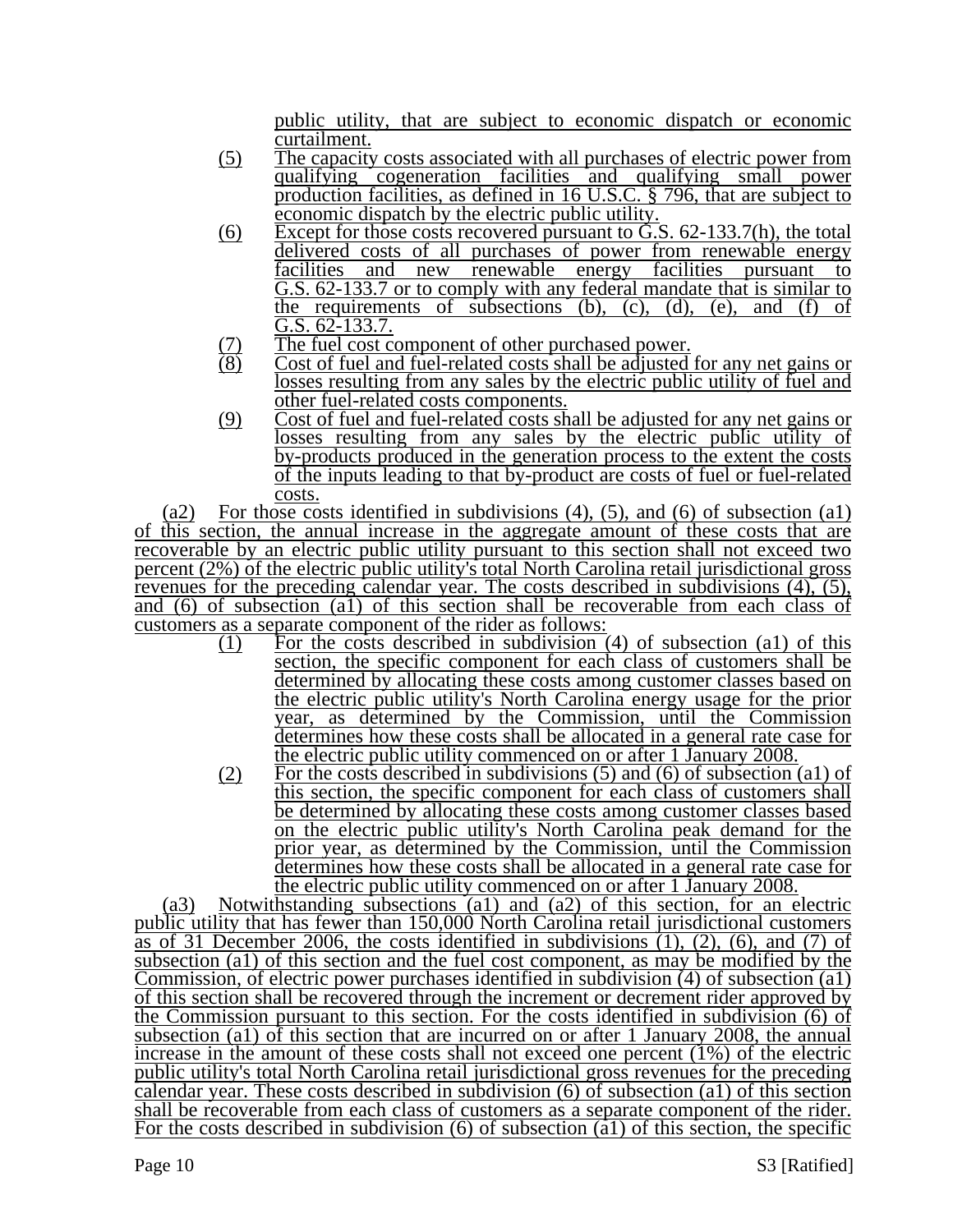public utility, that are subject to economic dispatch or economic curtailment.

- (5) The capacity costs associated with all purchases of electric power from qualifying cogeneration facilities and qualifying small power production facilities, as defined in 16 U.S.C. § 796, that are subject to economic dispatch by the electric public utility.
- $(6)$  Except for those costs recovered pursuant to G.S.  $62-133.7(h)$ , the total delivered costs of all purchases of power from renewable energy facilities and new renewable energy facilities pursuant to G.S. 62-133.7 or to comply with any federal mandate that is similar to the requirements of subsections  $(b)$ ,  $(c)$ ,  $(d)$ ,  $(e)$ , and  $(f)$  of G.S. 62-133.7.
- $(7)$  The fuel cost component of other purchased power.<br> $(8)$  Cost of fuel and fuel-related costs shall be adjusted
- Cost of fuel and fuel-related costs shall be adjusted for any net gains or losses resulting from any sales by the electric public utility of fuel and other fuel-related costs components.
- (9) Cost of fuel and fuel-related costs shall be adjusted for any net gains or losses resulting from any sales by the electric public utility of by-products produced in the generation process to the extent the costs of the inputs leading to that by-product are costs of fuel or fuel-related costs.

(a2) For those costs identified in subdivisions  $(4)$ ,  $(5)$ , and  $(6)$  of subsection  $(4)$ of this section, the annual increase in the aggregate amount of these costs that are recoverable by an electric public utility pursuant to this section shall not exceed two percent (2%) of the electric public utility's total North Carolina retail jurisdictional gross revenues for the preceding calendar year. The costs described in subdivisions (4), (5), and (6) of subsection (a1) of this section shall be recoverable from each class of customers as a separate component of the rider as follows:

- (1) For the costs described in subdivision (4) of subsection (a1) of this section, the specific component for each class of customers shall be determined by allocating these costs among customer classes based on the electric public utility's North Carolina energy usage for the prior year, as determined by the Commission, until the Commission determines how these costs shall be allocated in a general rate case for the electric public utility commenced on or after 1 January 2008.
- $(2)$  For the costs described in subdivisions  $(5)$  and  $(6)$  of subsection  $(a1)$  of this section, the specific component for each class of customers shall be determined by allocating these costs among customer classes based on the electric public utility's North Carolina peak demand for the prior year, as determined by the Commission, until the Commission determines how these costs shall be allocated in a general rate case for the electric public utility commenced on or after 1 January 2008.

(a3) Notwithstanding subsections (a1) and (a2) of this section, for an electric public utility that has fewer than 150,000 North Carolina retail jurisdictional customers as of 31 December 2006, the costs identified in subdivisions  $(1)$ ,  $(2)$ ,  $(6)$ , and  $(7)$  of subsection (a1) of this section and the fuel cost component, as may be modified by the Commission, of electric power purchases identified in subdivision (4) of subsection (a1) of this section shall be recovered through the increment or decrement rider approved by the Commission pursuant to this section. For the costs identified in subdivision (6) of subsection (a1) of this section that are incurred on or after 1 January 2008, the annual increase in the amount of these costs shall not exceed one percent (1%) of the electric public utility's total North Carolina retail jurisdictional gross revenues for the preceding calendar year. These costs described in subdivision (6) of subsection (a1) of this section shall be recoverable from each class of customers as a separate component of the rider. For the costs described in subdivision  $(6)$  of subsection  $(\hat{a}1)$  of this section, the specific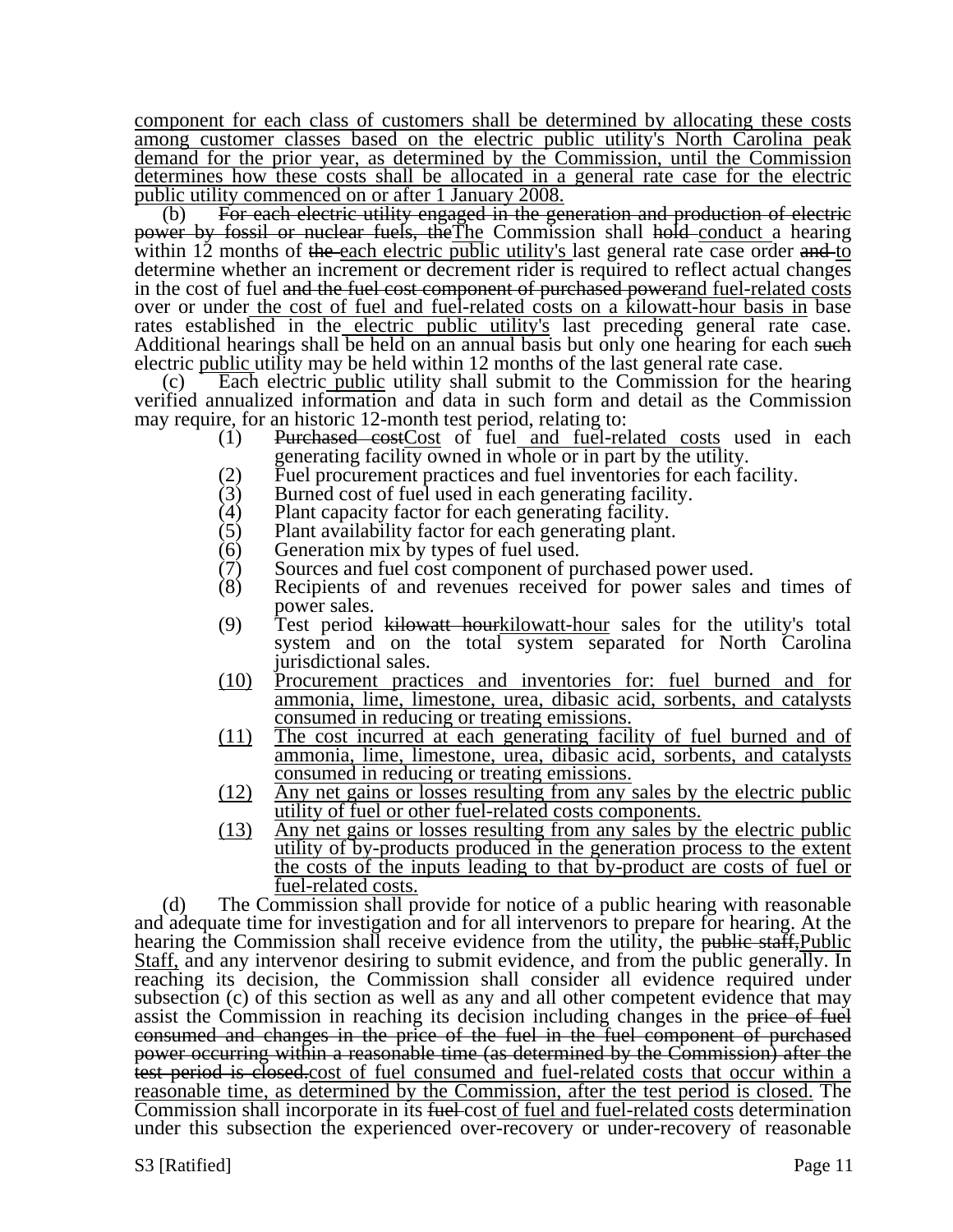component for each class of customers shall be determined by allocating these costs among customer classes based on the electric public utility's North Carolina peak demand for the prior year, as determined by the Commission, until the Commission determines how these costs shall be allocated in a general rate case for the electric public utility commenced on or after 1 January 2008.

(b) For each electric utility engaged in the generation and production of electric power by fossil or nuclear fuels, theThe Commission shall hold conduct a hearing within 12 months of the each electric public utility's last general rate case order and to determine whether an increment or decrement rider is required to reflect actual changes in the cost of fuel and the fuel cost component of purchased powerand fuel-related costs over or under the cost of fuel and fuel-related costs on a kilowatt-hour basis in base rates established in the electric public utility's last preceding general rate case. Additional hearings shall be held on an annual basis but only one hearing for each such electric public utility may be held within 12 months of the last general rate case.

(c) Each electric public utility shall submit to the Commission for the hearing verified annualized information and data in such form and detail as the Commission may require, for an historic 12-month test period, relating to:

- (1) Purchased costCost of fuel and fuel-related costs used in each generating facility owned in whole or in part by the utility.
- (2) Fuel procurement practices and fuel inventories for each facility.<br>
(3) Burned cost of fuel used in each generating facility.
- (3) Burned cost of fuel used in each generating facility.<br>(4) Plant capacity factor for each generating facility.
- (4) Plant capacity factor for each generating facility.<br>(5) Plant availability factor for each generating plant
- Plant availability factor for each generating plant.
- (6) Generation mix by types of fuel used.<br>(7) Sources and fuel cost component of pu
- (7) Sources and fuel cost component of purchased power used.<br>(8) Recipients of and revenues received for power sales are
- Recipients of and revenues received for power sales and times of power sales.
- (9) Test period kilowatt hourkilowatt-hour sales for the utility's total system and on the total system separated for North Carolina jurisdictional sales.
- (10) Procurement practices and inventories for: fuel burned and for ammonia, lime, limestone, urea, dibasic acid, sorbents, and catalysts consumed in reducing or treating emissions.
- (11) The cost incurred at each generating facility of fuel burned and of ammonia, lime, limestone, urea, dibasic acid, sorbents, and catalysts consumed in reducing or treating emissions.
- (12) Any net gains or losses resulting from any sales by the electric public utility of fuel or other fuel-related costs components.
- (13) Any net gains or losses resulting from any sales by the electric public utility of by-products produced in the generation process to the extent the costs of the inputs leading to that by-product are costs of fuel or fuel-related costs.

(d) The Commission shall provide for notice of a public hearing with reasonable and adequate time for investigation and for all intervenors to prepare for hearing. At the hearing the Commission shall receive evidence from the utility, the public staff. Public Staff, and any intervenor desiring to submit evidence, and from the public generally. In reaching its decision, the Commission shall consider all evidence required under subsection (c) of this section as well as any and all other competent evidence that may assist the Commission in reaching its decision including changes in the price of fuel consumed and changes in the price of the fuel in the fuel component of purchased power occurring within a reasonable time (as determined by the Commission) after the test period is closed.cost of fuel consumed and fuel-related costs that occur within a reasonable time, as determined by the Commission, after the test period is closed. The Commission shall incorporate in its fuel-cost of fuel and fuel-related costs determination under this subsection the experienced over-recovery or under-recovery of reasonable

S3 [Ratified] Page 11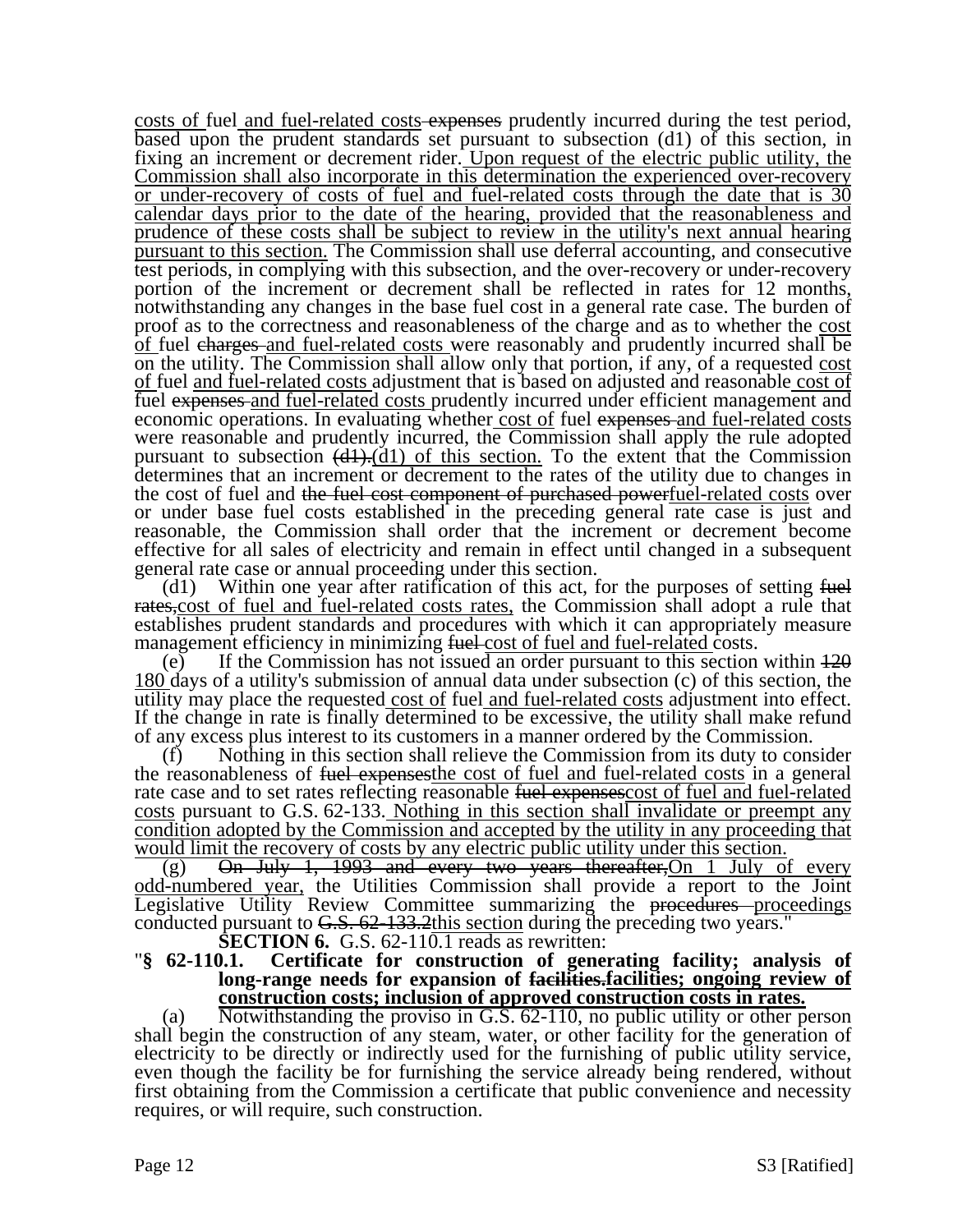costs of fuel and fuel-related costs expenses prudently incurred during the test period, based upon the prudent standards set pursuant to subsection (d1) of this section, in fixing an increment or decrement rider. Upon request of the electric public utility, the Commission shall also incorporate in this determination the experienced over-recovery or under-recovery of costs of fuel and fuel-related costs through the date that is 30 calendar days prior to the date of the hearing, provided that the reasonableness and prudence of these costs shall be subject to review in the utility's next annual hearing pursuant to this section. The Commission shall use deferral accounting, and consecutive test periods, in complying with this subsection, and the over-recovery or under-recovery portion of the increment or decrement shall be reflected in rates for 12 months, notwithstanding any changes in the base fuel cost in a general rate case. The burden of proof as to the correctness and reasonableness of the charge and as to whether the cost of fuel charges and fuel-related costs were reasonably and prudently incurred shall be on the utility. The Commission shall allow only that portion, if any, of a requested cost of fuel and fuel-related costs adjustment that is based on adjusted and reasonable cost of fuel expenses and fuel-related costs prudently incurred under efficient management and economic operations. In evaluating whether cost of fuel expenses and fuel-related costs were reasonable and prudently incurred, the Commission shall apply the rule adopted pursuant to subsection  $\left(\frac{d1}{d1}\right)$  of this section. To the extent that the Commission determines that an increment or decrement to the rates of the utility due to changes in the cost of fuel and the fuel cost component of purchased powerfuel-related costs over or under base fuel costs established in the preceding general rate case is just and reasonable, the Commission shall order that the increment or decrement become effective for all sales of electricity and remain in effect until changed in a subsequent general rate case or annual proceeding under this section.

(d1) Within one year after ratification of this act, for the purposes of setting  $f_{\text{t}}$ rates, cost of fuel and fuel-related costs rates, the Commission shall adopt a rule that establishes prudent standards and procedures with which it can appropriately measure management efficiency in minimizing fuel-cost of fuel and fuel-related costs.

(e) If the Commission has not issued an order pursuant to this section within  $\frac{120}{20}$ 180 days of a utility's submission of annual data under subsection (c) of this section, the utility may place the requested cost of fuel and fuel-related costs adjustment into effect. If the change in rate is finally determined to be excessive, the utility shall make refund of any excess plus interest to its customers in a manner ordered by the Commission.

(f) Nothing in this section shall relieve the Commission from its duty to consider the reasonableness of fuel expenses the cost of fuel and fuel-related costs in a general rate case and to set rates reflecting reasonable fuel expenses cost of fuel and fuel-related costs pursuant to G.S. 62-133. Nothing in this section shall invalidate or preempt any condition adopted by the Commission and accepted by the utility in any proceeding that would limit the recovery of costs by any electric public utility under this section.

(g) On July 1, 1993 and every two years thereafter, On 1 July of every odd-numbered year, the Utilities Commission shall provide a report to the Joint Legislative Utility Review Committee summarizing the proceedures proceedings conducted pursuant to  $G.S. 62-133.2$ this section during the preceding two years."<br>**SECTION 6.** G.S. 62-110.1 reads as rewritten:

**Section 62-110.1.** Certificate for construction of generating facility; analysis of **long-range needs for expansion of facilities.facilities; ongoing review of construction costs; inclusion of approved construction costs in rates.**

(a) Notwithstanding the proviso in G.S. 62-110, no public utility or other person shall begin the construction of any steam, water, or other facility for the generation of electricity to be directly or indirectly used for the furnishing of public utility service, even though the facility be for furnishing the service already being rendered, without first obtaining from the Commission a certificate that public convenience and necessity requires, or will require, such construction.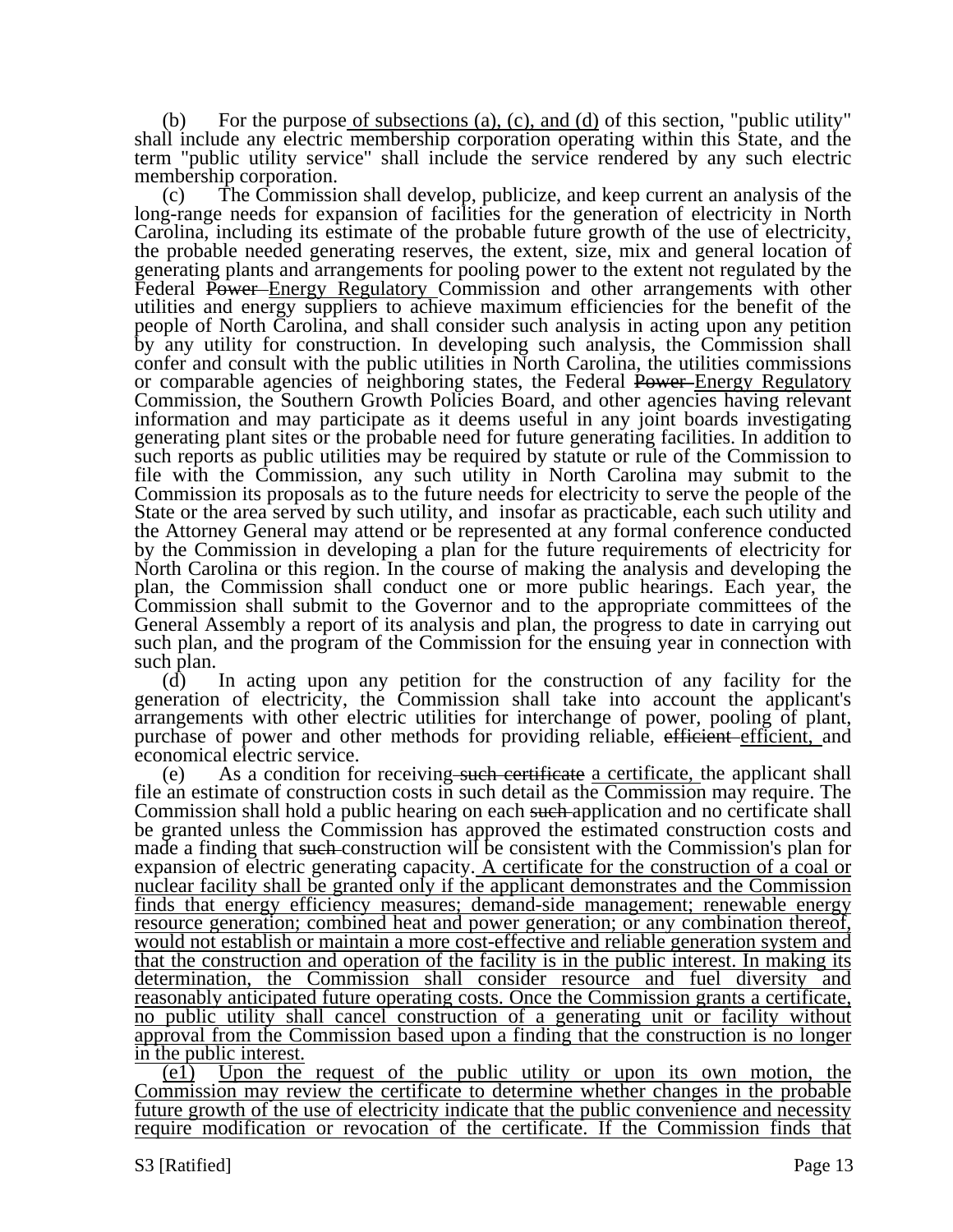(b) For the purpose of subsections (a), (c), and (d) of this section, "public utility" shall include any electric membership corporation operating within this State, and the term "public utility service" shall include the service rendered by any such electric membership corporation.

(c) The Commission shall develop, publicize, and keep current an analysis of the long-range needs for expansion of facilities for the generation of electricity in North Carolina, including its estimate of the probable future growth of the use of electricity, the probable needed generating reserves, the extent, size, mix and general location of generating plants and arrangements for pooling power to the extent not regulated by the Federal Power-Energy Regulatory Commission and other arrangements with other utilities and energy suppliers to achieve maximum efficiencies for the benefit of the people of North Carolina, and shall consider such analysis in acting upon any petition by any utility for construction. In developing such analysis, the Commission shall confer and consult with the public utilities in North Carolina, the utilities commissions or comparable agencies of neighboring states, the Federal Power–Energy Regulatory Commission, the Southern Growth Policies Board, and other agencies having relevant information and may participate as it deems useful in any joint boards investigating generating plant sites or the probable need for future generating facilities. In addition to such reports as public utilities may be required by statute or rule of the Commission to file with the Commission, any such utility in North Carolina may submit to the Commission its proposals as to the future needs for electricity to serve the people of the State or the area served by such utility, and insofar as practicable, each such utility and the Attorney General may attend or be represented at any formal conference conducted by the Commission in developing a plan for the future requirements of electricity for North Carolina or this region. In the course of making the analysis and developing the plan, the Commission shall conduct one or more public hearings. Each year, the Commission shall submit to the Governor and to the appropriate committees of the General Assembly a report of its analysis and plan, the progress to date in carrying out such plan, and the program of the Commission for the ensuing year in connection with such plan.

(d) In acting upon any petition for the construction of any facility for the generation of electricity, the Commission shall take into account the applicant's arrangements with other electric utilities for interchange of power, pooling of plant, purchase of power and other methods for providing reliable, efficient efficient, and economical electric service.

(e) As a condition for receiving such certificate a certificate, the applicant shall file an estimate of construction costs in such detail as the Commission may require. The Commission shall hold a public hearing on each such application and no certificate shall be granted unless the Commission has approved the estimated construction costs and made a finding that such construction will be consistent with the Commission's plan for expansion of electric generating capacity. A certificate for the construction of a coal or nuclear facility shall be granted only if the applicant demonstrates and the Commission finds that energy efficiency measures; demand-side management; renewable energy resource generation; combined heat and power generation; or any combination thereof, would not establish or maintain a more cost-effective and reliable generation system and that the construction and operation of the facility is in the public interest. In making its determination, the Commission shall consider resource and fuel diversity and reasonably anticipated future operating costs. Once the Commission grants a certificate, no public utility shall cancel construction of a generating unit or facility without approval from the Commission based upon a finding that the construction is no longer in the public interest.

(e1) Upon the request of the public utility or upon its own motion, the Commission may review the certificate to determine whether changes in the probable future growth of the use of electricity indicate that the public convenience and necessity require modification or revocation of the certificate. If the Commission finds that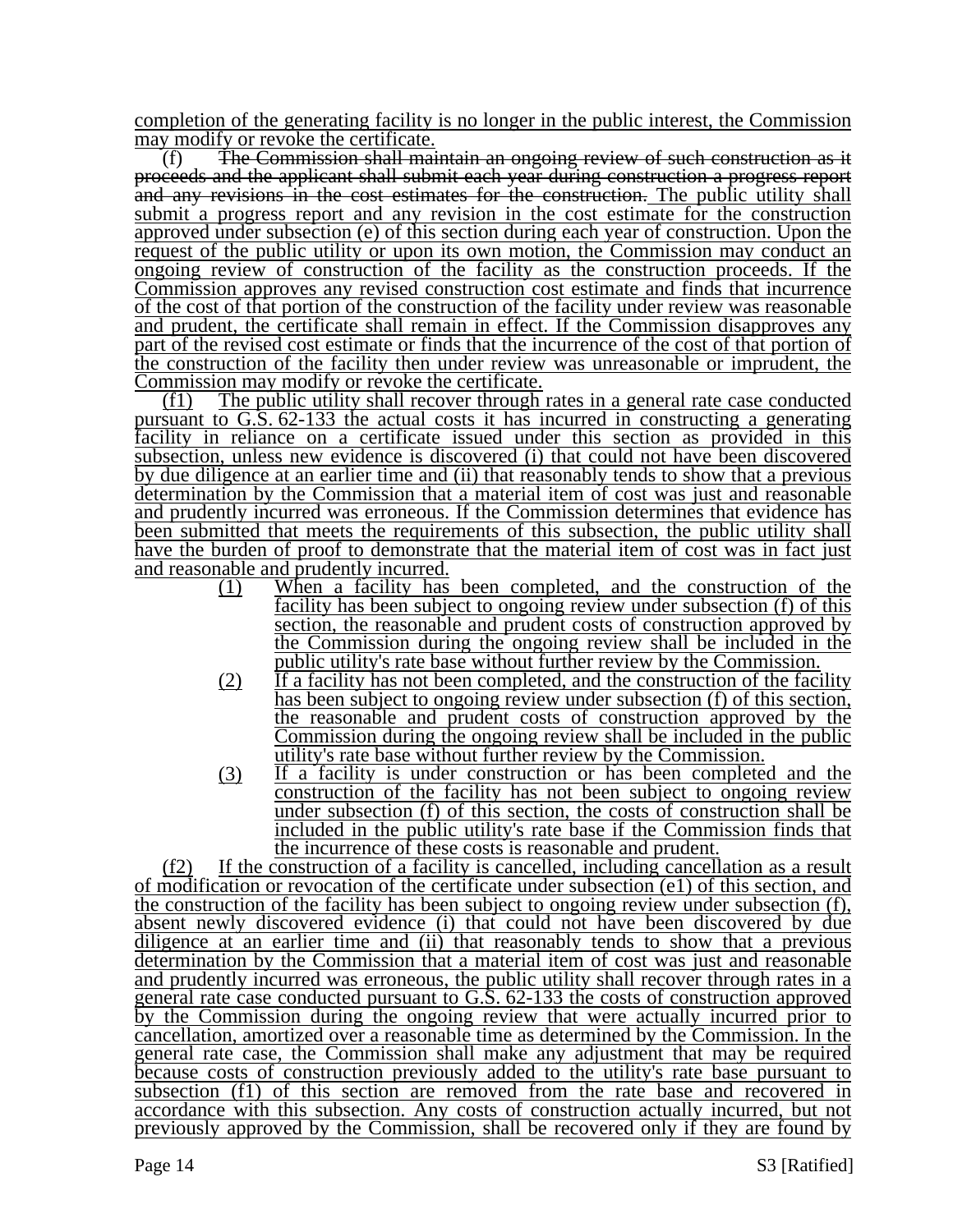completion of the generating facility is no longer in the public interest, the Commission may modify or revoke the certificate.

(f) The Commission shall maintain an ongoing review of such construction as it proceeds and the applicant shall submit each year during construction a progress report and any revisions in the cost estimates for the construction. The public utility shall submit a progress report and any revision in the cost estimate for the construction approved under subsection (e) of this section during each year of construction. Upon the request of the public utility or upon its own motion, the Commission may conduct an ongoing review of construction of the facility as the construction proceeds. If the Commission approves any revised construction cost estimate and finds that incurrence of the cost of that portion of the construction of the facility under review was reasonable and prudent, the certificate shall remain in effect. If the Commission disapproves any part of the revised cost estimate or finds that the incurrence of the cost of that portion of the construction of the facility then under review was unreasonable or imprudent, the Commission may modify or revoke the certificate.

(f1) The public utility shall recover through rates in a general rate case conducted pursuant to G.S. 62-133 the actual costs it has incurred in constructing a generating facility in reliance on a certificate issued under this section as provided in this subsection, unless new evidence is discovered (i) that could not have been discovered by due diligence at an earlier time and (ii) that reasonably tends to show that a previous determination by the Commission that a material item of cost was just and reasonable and prudently incurred was erroneous. If the Commission determines that evidence has been submitted that meets the requirements of this subsection, the public utility shall have the burden of proof to demonstrate that the material item of cost was in fact just and reasonable and prudently incurred.

- (1) When a facility has been completed, and the construction of the facility has been subject to ongoing review under subsection (f) of this section, the reasonable and prudent costs of construction approved by the Commission during the ongoing review shall be included in the public utility's rate base without further review by the Commission.
- (2) If a facility has not been completed, and the construction of the facility has been subject to ongoing review under subsection (f) of this section, the reasonable and prudent costs of construction approved by the Commission during the ongoing review shall be included in the public utility's rate base without further review by the Commission.
- (3) If a facility is under construction or has been completed and the construction of the facility has not been subject to ongoing review under subsection (f) of this section, the costs of construction shall be included in the public utility's rate base if the Commission finds that the incurrence of these costs is reasonable and prudent.

(f2) If the construction of a facility is cancelled, including cancellation as a result of modification or revocation of the certificate under subsection (e1) of this section, and the construction of the facility has been subject to ongoing review under subsection (f), absent newly discovered evidence (i) that could not have been discovered by due diligence at an earlier time and (ii) that reasonably tends to show that a previous determination by the Commission that a material item of cost was just and reasonable and prudently incurred was erroneous, the public utility shall recover through rates in a general rate case conducted pursuant to G.S. 62-133 the costs of construction approved by the Commission during the ongoing review that were actually incurred prior to cancellation, amortized over a reasonable time as determined by the Commission. In the general rate case, the Commission shall make any adjustment that may be required because costs of construction previously added to the utility's rate base pursuant to subsection (f1) of this section are removed from the rate base and recovered in accordance with this subsection. Any costs of construction actually incurred, but not previously approved by the Commission, shall be recovered only if they are found by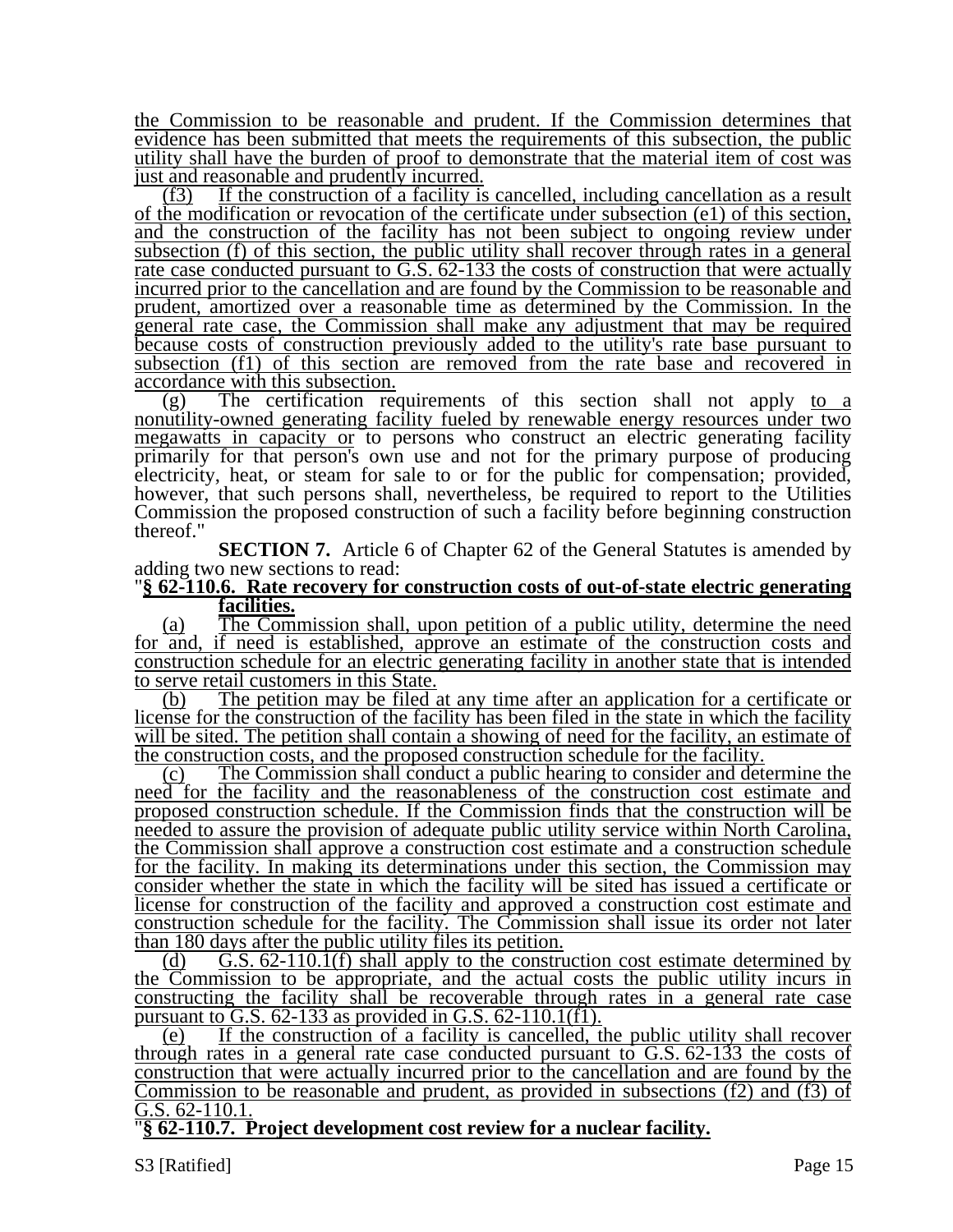the Commission to be reasonable and prudent. If the Commission determines that evidence has been submitted that meets the requirements of this subsection, the public utility shall have the burden of proof to demonstrate that the material item of cost was just and reasonable and prudently incurred.

(f3) If the construction of a facility is cancelled, including cancellation as a result of the modification or revocation of the certificate under subsection (e1) of this section, and the construction of the facility has not been subject to ongoing review under subsection (f) of this section, the public utility shall recover through rates in a general rate case conducted pursuant to G.S. 62-133 the costs of construction that were actually incurred prior to the cancellation and are found by the Commission to be reasonable and prudent, amortized over a reasonable time as determined by the Commission. In the general rate case, the Commission shall make any adjustment that may be required because costs of construction previously added to the utility's rate base pursuant to subsection (f1) of this section are removed from the rate base and recovered in accordance with this subsection.

(g) The certification requirements of this section shall not apply to a nonutility-owned generating facility fueled by renewable energy resources under two megawatts in capacity or to persons who construct an electric generating facility primarily for that person's own use and not for the primary purpose of producing electricity, heat, or steam for sale to or for the public for compensation; provided, however, that such persons shall, nevertheless, be required to report to the Utilities Commission the proposed construction of such a facility before beginning construction thereof."

**SECTION 7.** Article 6 of Chapter 62 of the General Statutes is amended by adding two new sections to read:

#### "**§ 62-110.6. Rate recovery for construction costs of out-of-state electric generating facilities.**

(a) The Commission shall, upon petition of a public utility, determine the need for and, if need is established, approve an estimate of the construction costs and construction schedule for an electric generating facility in another state that is intended to serve retail customers in this State.

(b) The petition may be filed at any time after an application for a certificate or license for the construction of the facility has been filed in the state in which the facility will be sited. The petition shall contain a showing of need for the facility, an estimate of the construction costs, and the proposed construction schedule for the facility.

(c) The Commission shall conduct a public hearing to consider and determine the need for the facility and the reasonableness of the construction cost estimate and proposed construction schedule. If the Commission finds that the construction will be needed to assure the provision of adequate public utility service within North Carolina, the Commission shall approve a construction cost estimate and a construction schedule for the facility. In making its determinations under this section, the Commission may consider whether the state in which the facility will be sited has issued a certificate or license for construction of the facility and approved a construction cost estimate and construction schedule for the facility. The Commission shall issue its order not later than 180 days after the public utility files its petition.

(d) G.S. 62-110.1(f) shall apply to the construction cost estimate determined by the Commission to be appropriate, and the actual costs the public utility incurs in constructing the facility shall be recoverable through rates in a general rate case pursuant to G.S.  $62-133$  as provided in G.S.  $62-110.1(f1)$ .

(e) If the construction of a facility is cancelled, the public utility shall recover through rates in a general rate case conducted pursuant to  $G.S. 62-133$  the costs of construction that were actually incurred prior to the cancellation and are found by the Commission to be reasonable and prudent, as provided in subsections (f2) and (f3) of G.S. 62-110.1.

"**§ 62-110.7. Project development cost review for a nuclear facility.**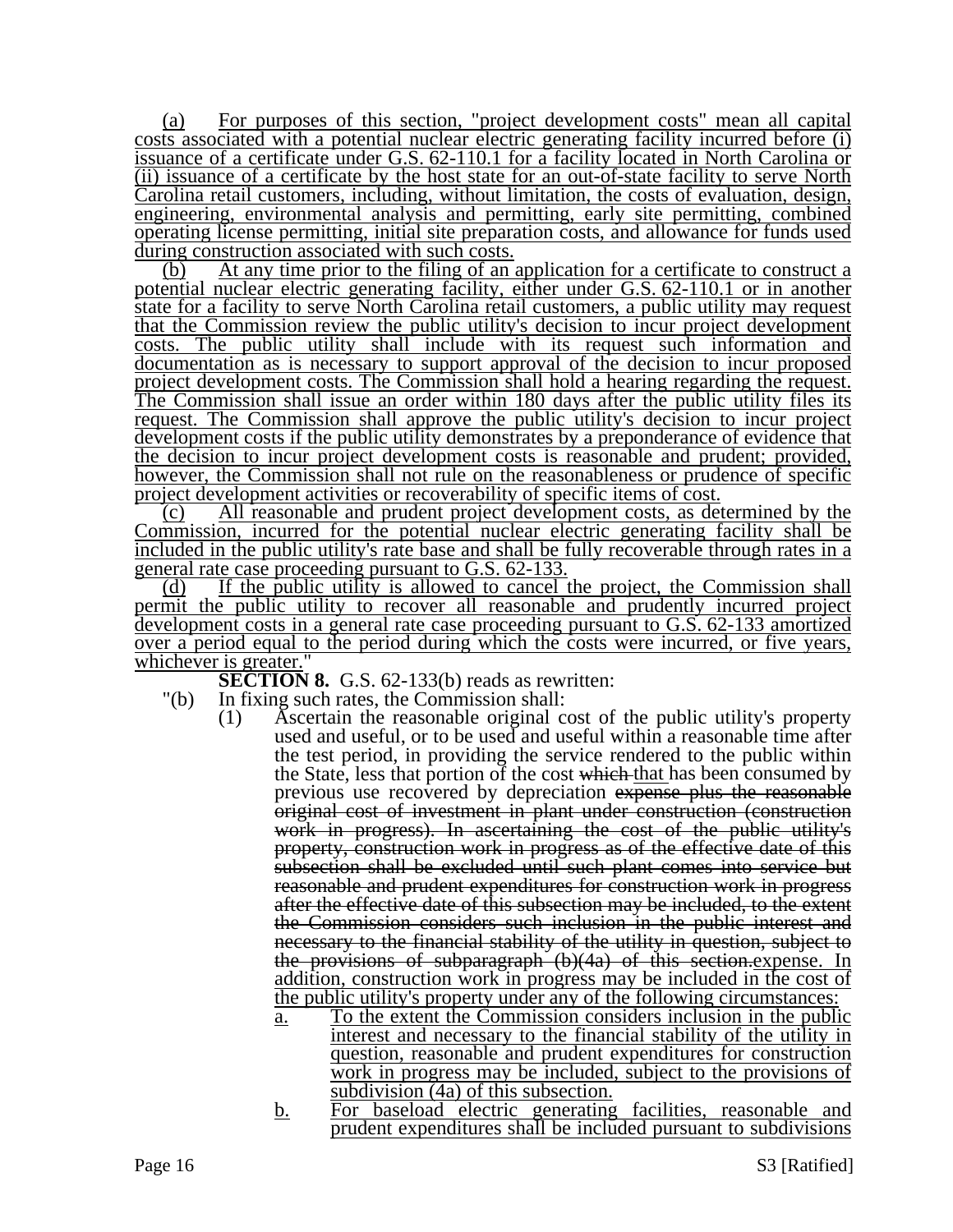(a) For purposes of this section, "project development costs" mean all capital costs associated with a potential nuclear electric generating facility incurred before (i) issuance of a certificate under G.S. 62-110.1 for a facility located in North Carolina or (ii) issuance of a certificate by the host state for an out-of-state facility to serve North Carolina retail customers, including, without limitation, the costs of evaluation, design, engineering, environmental analysis and permitting, early site permitting, combined operating license permitting, initial site preparation costs, and allowance for funds used during construction associated with such costs.

(b) At any time prior to the filing of an application for a certificate to construct a potential nuclear electric generating facility, either under G.S. 62-110.1 or in another state for a facility to serve North Carolina retail customers, a public utility may request that the Commission review the public utility's decision to incur project development costs. The public utility shall include with its request such information and documentation as is necessary to support approval of the decision to incur proposed project development costs. The Commission shall hold a hearing regarding the request. The Commission shall issue an order within 180 days after the public utility files its request. The Commission shall approve the public utility's decision to incur project development costs if the public utility demonstrates by a preponderance of evidence that the decision to incur project development costs is reasonable and prudent; provided, however, the Commission shall not rule on the reasonableness or prudence of specific project development activities or recoverability of specific items of cost.

(c) All reasonable and prudent project development costs, as determined by the Commission, incurred for the potential nuclear electric generating facility shall be included in the public utility's rate base and shall be fully recoverable through rates in a general rate case proceeding pursuant to G.S. 62-133.

(d) If the public utility is allowed to cancel the project, the Commission shall permit the public utility to recover all reasonable and prudently incurred project development costs in a general rate case proceeding pursuant to G.S. 62-133 amortized over a period equal to the period during which the costs were incurred, or five years, whichever is greater."

**SECTION 8.** G.S. 62-133(b) reads as rewritten:

- "(b) In fixing such rates, the Commission shall:
	- (1) Ascertain the reasonable original cost of the public utility's property used and useful, or to be used and useful within a reasonable time after the test period, in providing the service rendered to the public within the State, less that portion of the cost which that has been consumed by previous use recovered by depreciation expense plus the reasonable original cost of investment in plant under construction (construction work in progress). In ascertaining the cost of the public utility's property, construction work in progress as of the effective date of this subsection shall be excluded until such plant comes into service but reasonable and prudent expenditures for construction work in progress after the effective date of this subsection may be included, to the extent the Commission considers such inclusion in the public interest and necessary to the financial stability of the utility in question, subject to the provisions of subparagraph (b)(4a) of this section.expense. In addition, construction work in progress may be included in the cost of the public utility's property under any of the following circumstances:
		- a. To the extent the Commission considers inclusion in the public interest and necessary to the financial stability of the utility in question, reasonable and prudent expenditures for construction work in progress may be included, subject to the provisions of subdivision (4a) of this subsection.
		- b. For baseload electric generating facilities, reasonable and prudent expenditures shall be included pursuant to subdivisions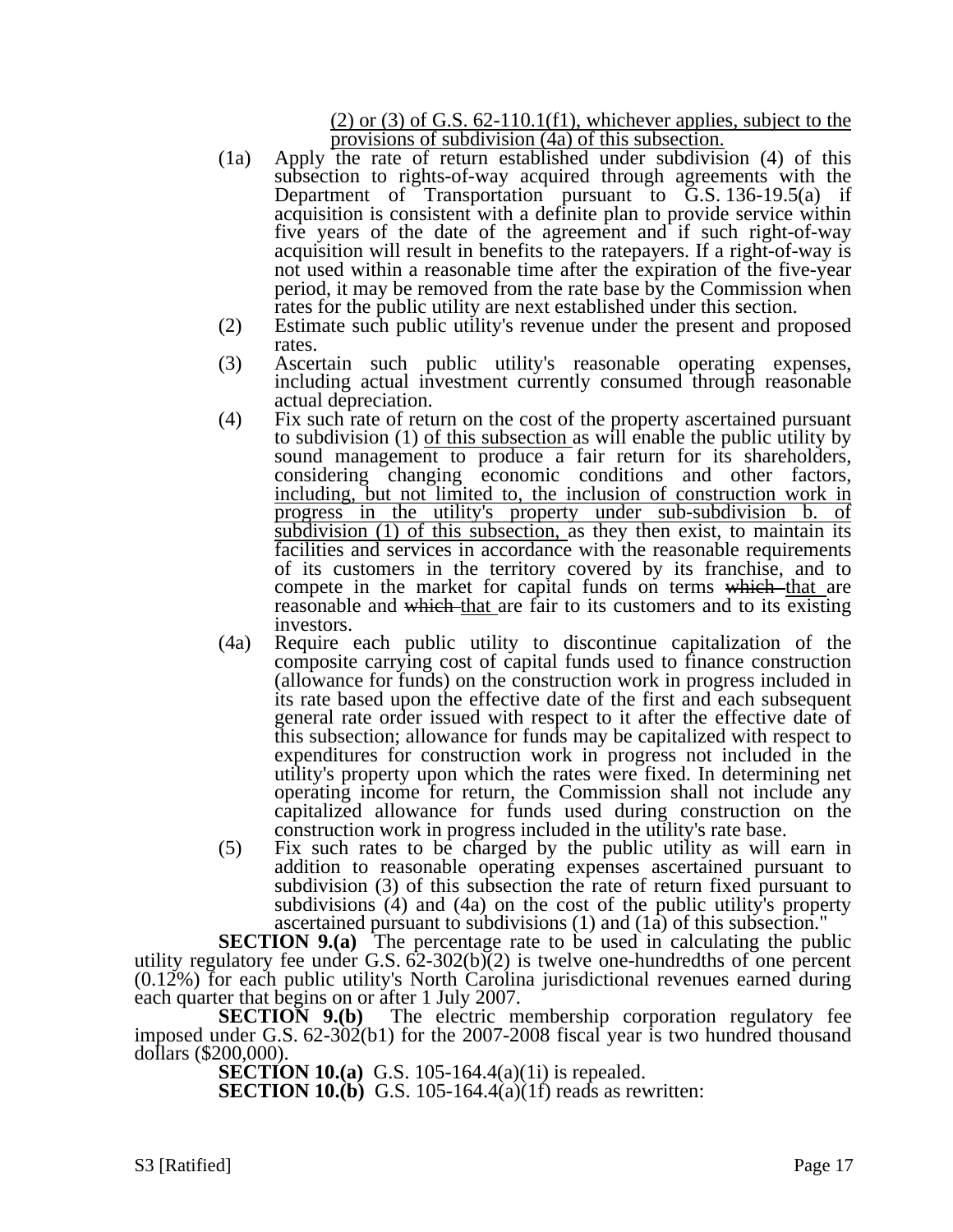$(2)$  or  $(3)$  of G.S. 62-110.1(f1), whichever applies, subject to the provisions of subdivision (4a) of this subsection.

- (1a) Apply the rate of return established under subdivision (4) of this subsection to rights-of-way acquired through agreements with the Department of Transportation pursuant to G.S. 136-19.5(a) if acquisition is consistent with a definite plan to provide service within five years of the date of the agreement and if such right-of-way acquisition will result in benefits to the ratepayers. If a right-of-way is not used within a reasonable time after the expiration of the five-year period, it may be removed from the rate base by the Commission when rates for the public utility are next established under this section.
- (2) Estimate such public utility's revenue under the present and proposed rates.
- (3) Ascertain such public utility's reasonable operating expenses, including actual investment currently consumed through reasonable actual depreciation.
- (4) Fix such rate of return on the cost of the property ascertained pursuant to subdivision (1) of this subsection as will enable the public utility by sound management to produce a fair return for its shareholders, considering changing economic conditions and other factors, including, but not limited to, the inclusion of construction work in progress in the utility's property under sub-subdivision b. of subdivision (1) of this subsection, as they then exist, to maintain its facilities and services in accordance with the reasonable requirements of its customers in the territory covered by its franchise, and to compete in the market for capital funds on terms which that are reasonable and which that are fair to its customers and to its existing investors.
- (4a) Require each public utility to discontinue capitalization of the composite carrying cost of capital funds used to finance construction (allowance for funds) on the construction work in progress included in its rate based upon the effective date of the first and each subsequent general rate order issued with respect to it after the effective date of this subsection; allowance for funds may be capitalized with respect to expenditures for construction work in progress not included in the utility's property upon which the rates were fixed. In determining net operating income for return, the Commission shall not include any capitalized allowance for funds used during construction on the construction work in progress included in the utility's rate base.
- (5) Fix such rates to be charged by the public utility as will earn in addition to reasonable operating expenses ascertained pursuant to subdivision (3) of this subsection the rate of return fixed pursuant to subdivisions (4) and (4a) on the cost of the public utility's property ascertained pursuant to subdivisions (1) and (1a) of this subsection."

**SECTION 9.(a)** The percentage rate to be used in calculating the public utility regulatory fee under G.S.  $62-302(b)(2)$  is twelve one-hundredths of one percent (0.12%) for each public utility's North Carolina jurisdictional revenues earned during each quarter that begins on or after 1 July 2007.<br>**SECTION 9.(b)** The electric m

The electric membership corporation regulatory fee imposed under G.S. 62-302(b1) for the 2007-2008 fiscal year is two hundred thousand dollars (\$200,000).

**SECTION 10.(a)** G.S. 105-164.4(a)(1i) is repealed.

**SECTION 10.(b)** G.S. 105-164.4(a)(1f) reads as rewritten: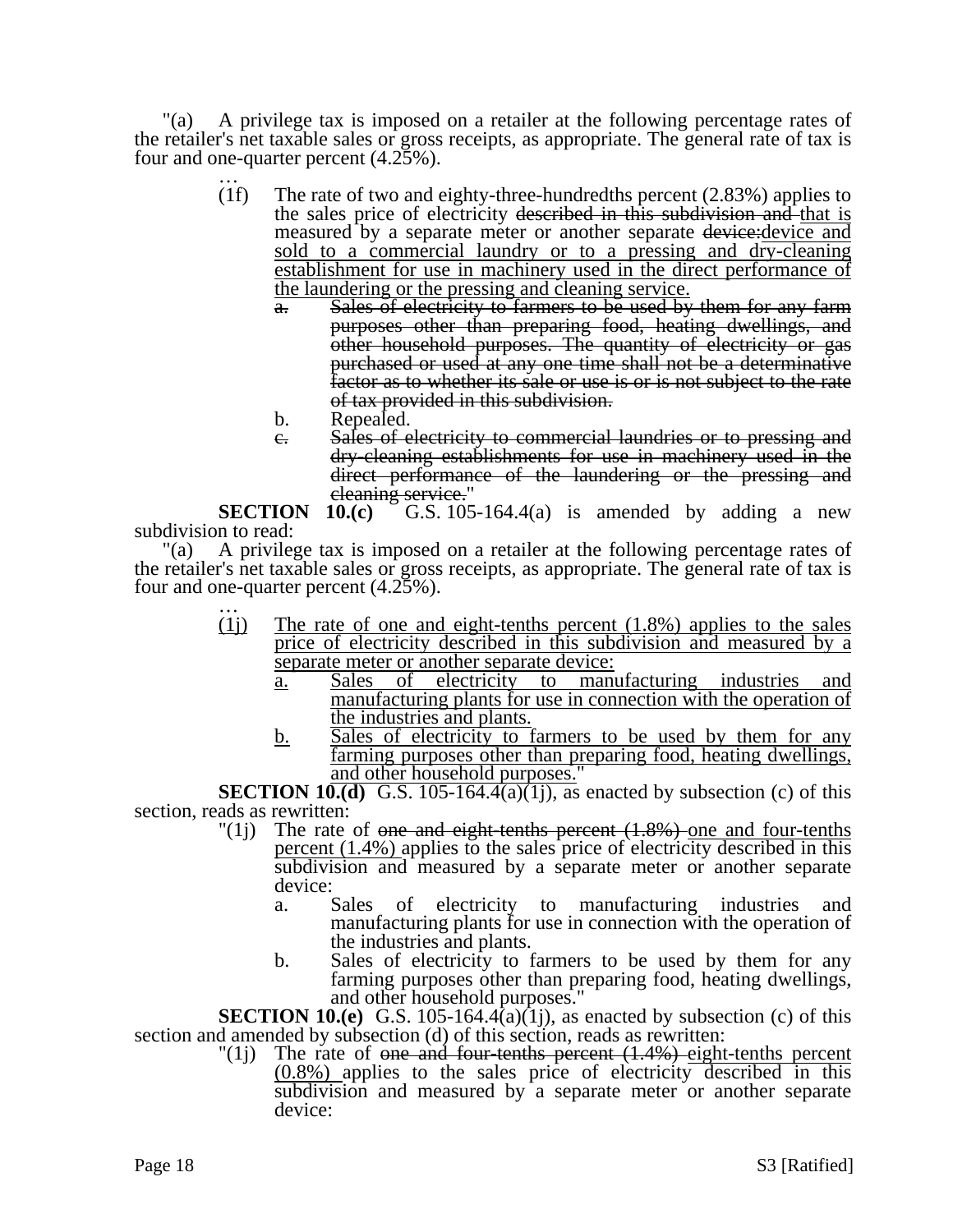"(a) A privilege tax is imposed on a retailer at the following percentage rates of the retailer's net taxable sales or gross receipts, as appropriate. The general rate of tax is four and one-quarter percent  $(4.25\%)$ .<br>(1f) The rate of two and e

- The rate of two and eighty-three-hundredths percent  $(2.83%)$  applies to the sales price of electricity described in this subdivision and that is measured by a separate meter or another separate device: <u>device</u> and sold to a commercial laundry or to a pressing and dry-cleaning establishment for use in machinery used in the direct performance of the laundering or the pressing and cleaning service.
	- Sales of electricity to farmers to be used by them for any farm purposes other than preparing food, heating dwellings, and other household purposes. The quantity of electricity or gas purchased or used at any one time shall not be a determinative factor as to whether its sale or use is or is not subject to the rate of tax provided in this subdivision.
	- b. Repealed.
	- c. Sales of electricity to commercial laundries or to pressing and dry-cleaning establishments for use in machinery used in the direct performance of the laundering or the pressing and

eleaning service."<br>SECTION 10.(c) G.S. 105 G.S.  $105-164.4(a)$  is amended by adding a new subdivision to read:

"(a) A privilege tax is imposed on a retailer at the following percentage rates of the retailer's net taxable sales or gross receipts, as appropriate. The general rate of tax is four and one-quarter percent  $(4.25\%)$ .<br>(1) The rate of one and

- The rate of one and eight-tenths percent  $(1.8\%)$  applies to the sales price of electricity described in this subdivision and measured by a separate meter or another separate device:
	- a. Sales of electricity to manufacturing industries and manufacturing plants for use in connection with the operation of the industries and plants.
	- b. Sales of electricity to farmers to be used by them for any farming purposes other than preparing food, heating dwellings, and other household purposes."

**SECTION 10.(d)** G.S. 105-164.4(a)(1j), as enacted by subsection (c) of this section, reads as rewritten:<br> $(1i)$  The rate

- The rate of one and eight-tenths percent  $(1.8%)$  one and four-tenths percent (1.4%) applies to the sales price of electricity described in this subdivision and measured by a separate meter or another separate device:
	- a. Sales of electricity to manufacturing industries and manufacturing plants for use in connection with the operation of the industries and plants.
	- b. Sales of electricity to farmers to be used by them for any farming purposes other than preparing food, heating dwellings, and other household purposes."

**SECTION 10.(e)** G.S. 105-164.4(a)(1j), as enacted by subsection (c) of this section and amended by subsection (d) of this section, reads as rewritten:

 $\binom{n}{1}$  The rate of <del>one and four-tenths percent (1.4%) eight-tenths percent</del> (0.8%) applies to the sales price of electricity described in this subdivision and measured by a separate meter or another separate device: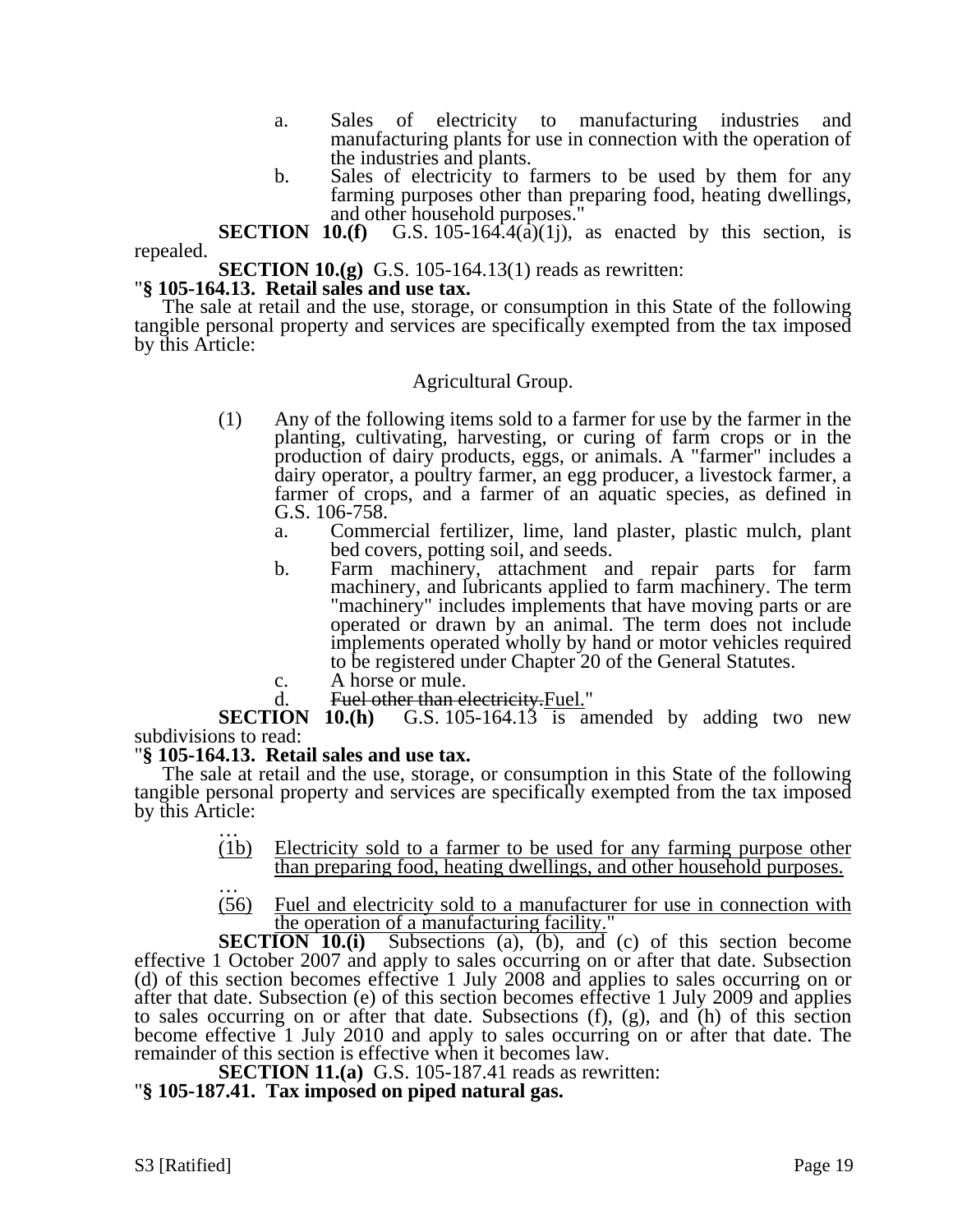- a. Sales of electricity to manufacturing industries and manufacturing plants for use in connection with the operation of the industries and plants.
- b. Sales of electricity to farmers to be used by them for any farming purposes other than preparing food, heating dwellings, and other household purposes."

**SECTION 10.(f)** G.S. 105-164.4( $\bar{a}$ )(1j), as enacted by this section, is repealed.

**SECTION 10.(g)** G.S. 105-164.13(1) reads as rewritten: "**§ 105-164.13.** Retail sales and use tax.

The sale at retail and the use, storage, or consumption in this State of the following tangible personal property and services are specifically exempted from the tax imposed by this Article:

## Agricultural Group.

- (1) Any of the following items sold to a farmer for use by the farmer in the planting, cultivating, harvesting, or curing of farm crops or in the production of dairy products, eggs, or animals. A "farmer" includes a dairy operator, a poultry farmer, an egg producer, a livestock farmer, a farmer of crops, and a farmer of an aquatic species, as defined in G.S. 106-758.
	- a. Commercial fertilizer, lime, land plaster, plastic mulch, plant bed covers, potting soil, and seeds.
	- b. Farm machinery, attachment and repair parts for farm machinery, and lubricants applied to farm machinery. The term "machinery" includes implements that have moving parts or are operated or drawn by an animal. The term does not include implements operated wholly by hand or motor vehicles required to be registered under Chapter 20 of the General Statutes.
	- c. A horse or mule.
	-

d. Fuel other than electricity. Fuel."<br>SECTION 10.(h) G.S. 105-164.13 is an G.S. 105-164.13 is amended by adding two new subdivisions to read:

## "**§ 105-164.13. Retail sales and use tax.**

The sale at retail and the use, storage, or consumption in this State of the following tangible personal property and services are specifically exempted from the tax imposed by this Article:

- (1b) Electricity sold to a farmer to be used for any farming purpose other
- than preparing food, heating dwellings, and other household purposes.<br>(56) Fuel and electricity sold to a manufacturer for use in connection with Fuel and electricity sold to a manufacturer for use in connection with the operation of a manufacturing facility."

**SECTION 10.(i)** Subsections (a), (b), and (c) of this section become effective 1 October 2007 and apply to sales occurring on or after that date. Subsection (d) of this section becomes effective 1 July 2008 and applies to sales occurring on or after that date. Subsection (e) of this section becomes effective 1 July 2009 and applies to sales occurring on or after that date. Subsections (f), (g), and (h) of this section become effective 1 July 2010 and apply to sales occurring on or after that date. The remainder of this section is effective when it becomes law.

**SECTION 11.(a)** G.S. 105-187.41 reads as rewritten: "**§ 105-187.41. Tax imposed on piped natural gas.**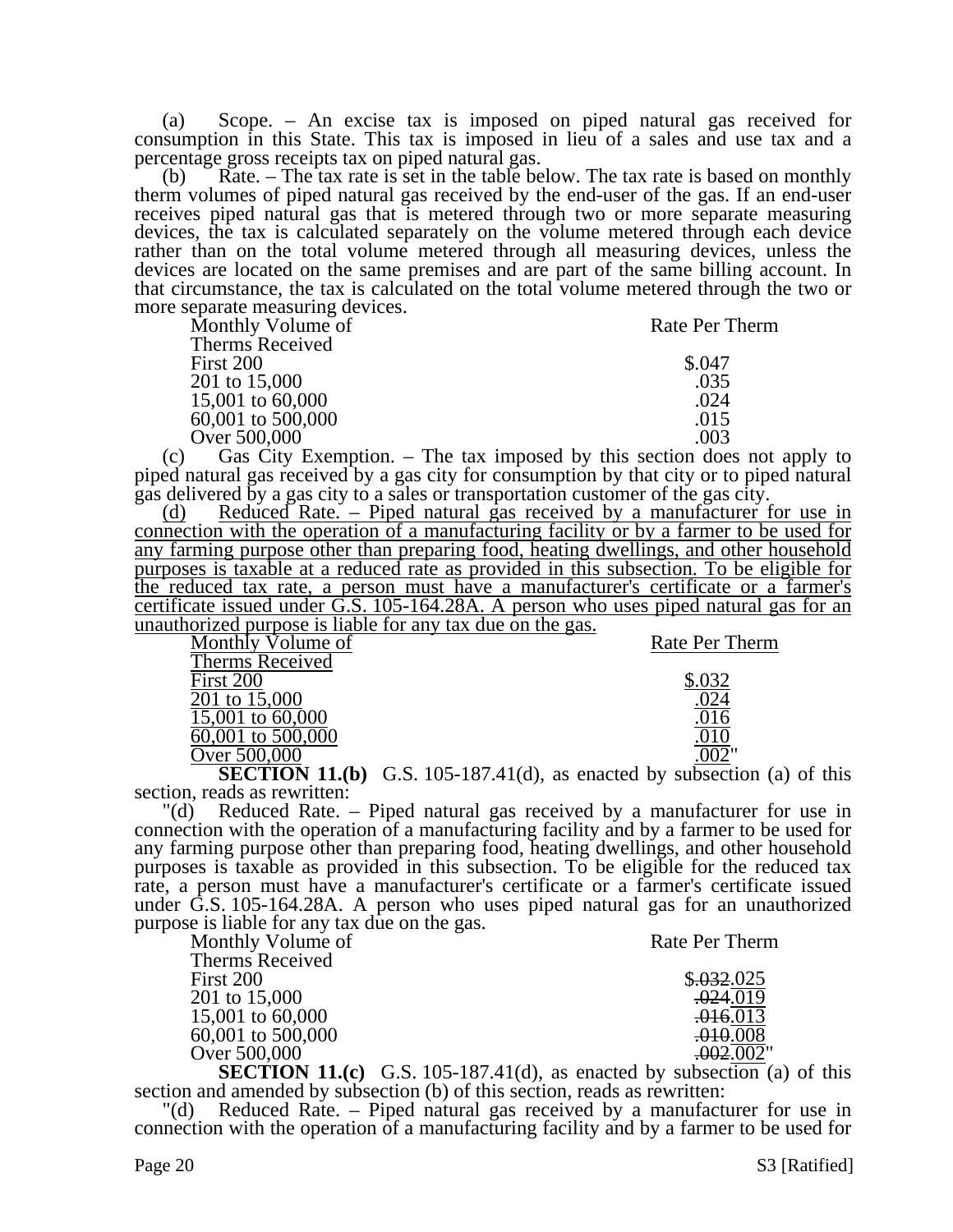(a) Scope. – An excise tax is imposed on piped natural gas received for consumption in this State. This tax is imposed in lieu of a sales and use tax and a percentage gross receipts tax on piped natural gas.

(b) Rate. – The tax rate is set in the table below. The tax rate is based on monthly therm volumes of piped natural gas received by the end-user of the gas. If an end-user receives piped natural gas that is metered through two or more separate measuring devices, the tax is calculated separately on the volume metered through each device rather than on the total volume metered through all measuring devices, unless the devices are located on the same premises and are part of the same billing account. In that circumstance, the tax is calculated on the total volume metered through the two or more separate measuring devices.

| Monthly Volume of | Rate Per Therm |
|-------------------|----------------|
| Therms Received   |                |
| First 200         | \$.047         |
| 201 to 15,000     | .035           |
| 15,001 to 60,000  | .024           |
| 60,001 to 500,000 | .015           |
| Over 500,000      | .003           |

(c) Gas City Exemption. – The tax imposed by this section does not apply to piped natural gas received by a gas city for consumption by that city or to piped natural gas delivered by a gas city to a sales or transportation customer of the gas city.

(d) Reduced Rate. – Piped natural gas received by a manufacturer for use in connection with the operation of a manufacturing facility or by a farmer to be used for any farming purpose other than preparing food, heating dwellings, and other household purposes is taxable at a reduced rate as provided in this subsection. To be eligible for the reduced tax rate, a person must have a manufacturer's certificate or a farmer's certificate issued under G.S. 105-164.28A. A person who uses piped natural gas for an unauthorized purpose is liable for any tax due on the gas.

| Monthly Volume of                                                                            | Rate Per Therm |
|----------------------------------------------------------------------------------------------|----------------|
| Therms Received                                                                              |                |
| First 200                                                                                    |                |
| 201 to 15,000                                                                                |                |
| 15,001 to 60,000                                                                             |                |
|                                                                                              |                |
|                                                                                              |                |
| 60,001 to 500,000<br>Over 500,000<br>$\sim$ $\sim$ $\sim$ $\sim$ $\sim$ $\sim$ $\sim$ $\sim$ | . .            |

**SECTION 11.(b)** G.S. 105-187.41(d), as enacted by subsection (a) of this section, reads as rewritten:

"(d) Reduced Rate. – Piped natural gas received by a manufacturer for use in connection with the operation of a manufacturing facility and by a farmer to be used for any farming purpose other than preparing food, heating dwellings, and other household purposes is taxable as provided in this subsection. To be eligible for the reduced tax rate, a person must have a manufacturer's certificate or a farmer's certificate issued under G.S. 105-164.28A. A person who uses piped natural gas for an unauthorized purpose is liable for any tax due on the gas.

| Monthly Volume of | Rate Per Therm |
|-------------------|----------------|
| Therms Received   |                |
| First 200         | \$.032.025     |
| 201 to 15,000     | .024.019       |
| 15,001 to 60,000  | .016.013       |
| 60,001 to 500,000 | .010.008       |
| Over 500,000      | .002.002"      |

**SECTION 11.(c)** G.S. 105-187.41(d), as enacted by subsection (a) of this section and amended by subsection (b) of this section, reads as rewritten:

Reduced Rate. – Piped natural gas received by a manufacturer for use in connection with the operation of a manufacturing facility and by a farmer to be used for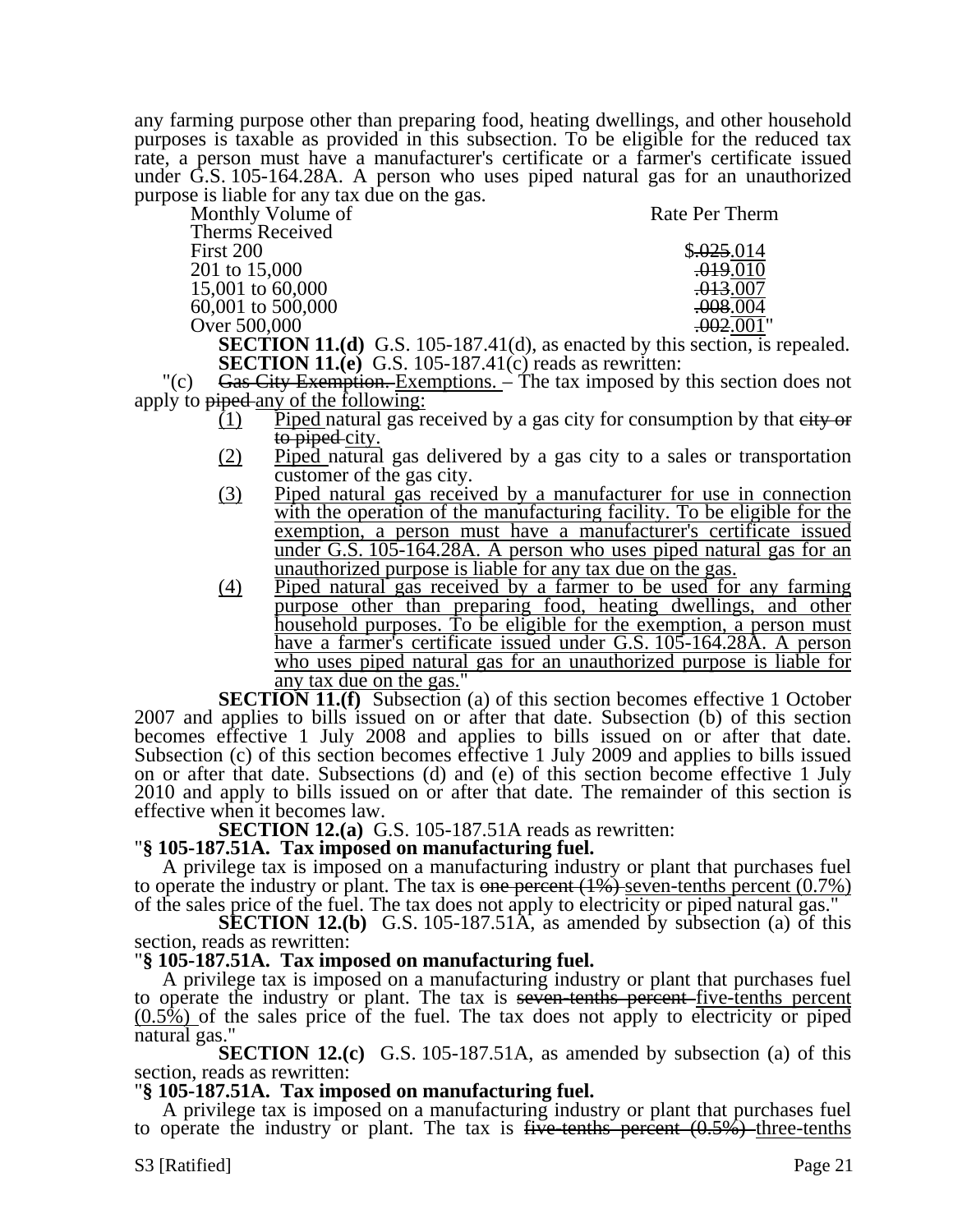any farming purpose other than preparing food, heating dwellings, and other household purposes is taxable as provided in this subsection. To be eligible for the reduced tax rate, a person must have a manufacturer's certificate or a farmer's certificate issued under G.S. 105-164.28A. A person who uses piped natural gas for an unauthorized purpose is liable for any tax due on the gas.

| Monthly Volume of | Rate Per Therm                                                                   |
|-------------------|----------------------------------------------------------------------------------|
| Therms Received   |                                                                                  |
| First 200         | \$.025.014                                                                       |
| 201 to 15,000     | .019.010                                                                         |
| 15,001 to 60,000  | <del>.013</del> .007                                                             |
| 60,001 to 500,000 | .008.004                                                                         |
| Over 500,000      | .002.001"                                                                        |
|                   | <b>SECTION 11 (d)</b> $G_S = 105-187 \pm 11$ (d) as enacted by this section is r |

**SECTION 11.(d)** G.S. 105-187.41(d), as enacted by this section, is repealed. **SECTION 11.(e)** G.S. 105-187.41(c) reads as rewritten:

"(c)  $Gas$  City Exemption. Exemptions. – The tax imposed by this section does not apply to piped any of the following:

- $(1)$  Piped natural gas received by a gas city for consumption by that eity or to piped city.
- (2) Piped natural gas delivered by a gas city to a sales or transportation customer of the gas city.
- (3) Piped natural gas received by a manufacturer for use in connection with the operation of the manufacturing facility. To be eligible for the exemption, a person must have a manufacturer's certificate issued <u>under G.S. 105-164.28A. A person who uses piped natural gas for an</u> unauthorized purpose is liable for any tax due on the gas.
- (4) Piped natural gas received by a farmer to be used for any farming purpose other than preparing food, heating dwellings, and other household purposes. To be eligible for the exemption, a person must have a farmer's certificate issued under G.S. 105-164.28A. A person who uses piped natural gas for an unauthorized purpose is liable for any tax due on the gas."

**SECTION 11.(f)** Subsection (a) of this section becomes effective 1 October 2007 and applies to bills issued on or after that date. Subsection (b) of this section becomes effective 1 July 2008 and applies to bills issued on or after that date. Subsection (c) of this section becomes effective 1 July 2009 and applies to bills issued on or after that date. Subsections (d) and (e) of this section become effective 1 July 2010 and apply to bills issued on or after that date. The remainder of this section is effective when it becomes law.<br>**SECTION 12.(a)** G.S. 105-187.51A reads as rewritten:

## **SECTION 12.4.3.187.51A. Tax imposed on manufacturing fuel.**

A privilege tax is imposed on a manufacturing industry or plant that purchases fuel to operate the industry or plant. The tax is one percent  $(1%)$  seven-tenths percent  $(0.7%)$ of the sales price of the fuel. The tax does not apply to electricity or piped natural gas."

**SECTION 12.(b)** G.S. 105-187.51A, as amended by subsection (a) of this section, reads as rewritten:

## "**§ 105-187.51A. Tax imposed on manufacturing fuel.**

A privilege tax is imposed on a manufacturing industry or plant that purchases fuel to operate the industry or plant. The tax is seven-tenths percent-five-tenths percent  $(0.5\%)$  of the sales price of the fuel. The tax does not apply to electricity or piped natural gas."

**SECTION 12.(c)** G.S. 105-187.51A, as amended by subsection (a) of this section, reads as rewritten:

## "**§ 105-187.51A. Tax imposed on manufacturing fuel.**

A privilege tax is imposed on a manufacturing industry or plant that purchases fuel to operate the industry or plant. The tax is five-tenths percent  $(0.5\%)$ -three-tenths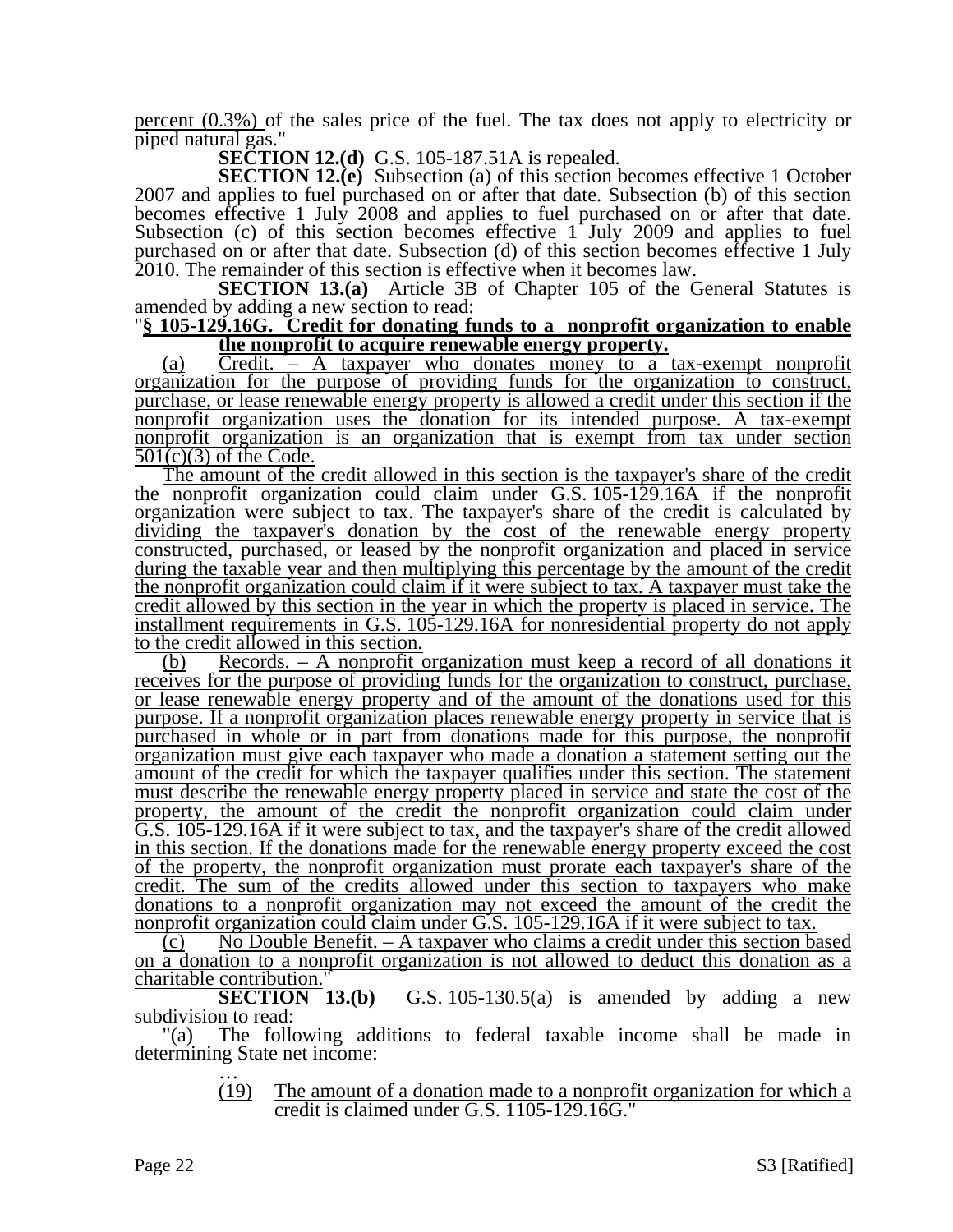percent  $(0.3\%)$  of the sales price of the fuel. The tax does not apply to electricity or piped natural gas."

**SECTION 12.(d)** G.S. 105-187.51A is repealed.

**SECTION 12.(e)** Subsection (a) of this section becomes effective 1 October 2007 and applies to fuel purchased on or after that date. Subsection (b) of this section becomes effective 1 July 2008 and applies to fuel purchased on or after that date. Subsection (c) of this section becomes effective 1 July 2009 and applies to fuel purchased on or after that date. Subsection (d) of this section becomes effective 1 July 2010. The remainder of this section is effective when it becomes law.

**SECTION 13.(a)** Article 3B of Chapter 105 of the General Statutes is amended by adding a new section to read:

#### "**§ 105-129.16G. Credit for donating funds to a nonprofit organization to enable the nonprofit to acquire renewable energy property.**

(a) Credit. – A taxpayer who donates money to a tax-exempt nonprofit organization for the purpose of providing funds for the organization to construct, purchase, or lease renewable energy property is allowed a credit under this section if the nonprofit organization uses the donation for its intended purpose. A tax-exempt nonprofit organization is an organization that is exempt from tax under section  $501(c)(3)$  of the Code.

The amount of the credit allowed in this section is the taxpayer's share of the credit the nonprofit organization could claim under G.S. 105-129.16A if the nonprofit organization were subject to tax. The taxpayer's share of the credit is calculated by dividing the taxpayer's donation by the cost of the renewable energy property constructed, purchased, or leased by the nonprofit organization and placed in service during the taxable year and then multiplying this percentage by the amount of the credit the nonprofit organization could claim if it were subject to tax. A taxpayer must take the credit allowed by this section in the year in which the property is placed in service. The installment requirements in G.S. 105-129.16A for nonresidential property do not apply to the credit allowed in this section.

(b) Records. – A nonprofit organization must keep a record of all donations it receives for the purpose of providing funds for the organization to construct, purchase, or lease renewable energy property and of the amount of the donations used for this purpose. If a nonprofit organization places renewable energy property in service that is purchased in whole or in part from donations made for this purpose, the nonprofit organization must give each taxpayer who made a donation a statement setting out the amount of the credit for which the taxpayer qualifies under this section. The statement must describe the renewable energy property placed in service and state the cost of the property, the amount of the credit the nonprofit organization could claim under G.S. 105-129.16A if it were subject to tax, and the taxpayer's share of the credit allowed in this section. If the donations made for the renewable energy property exceed the cost of the property, the nonprofit organization must prorate each taxpayer's share of the credit. The sum of the credits allowed under this section to taxpayers who make donations to a nonprofit organization may not exceed the amount of the credit the nonprofit organization could claim under G.S. 105-129.16A if it were subject to tax.

 $(c)$  No Double Benefit. – A taxpayer who claims a credit under this section based on a donation to a nonprofit organization is not allowed to deduct this donation as a charitable contribution."

**SECTION 13.(b)** G.S. 105-130.5(a) is amended by adding a new subdivision to read:

"(a) The following additions to federal taxable income shall be made in determining State net income:<br>
...<br>
(19) The amount

The amount of a donation made to a nonprofit organization for which a credit is claimed under G.S. 1105-129.16G."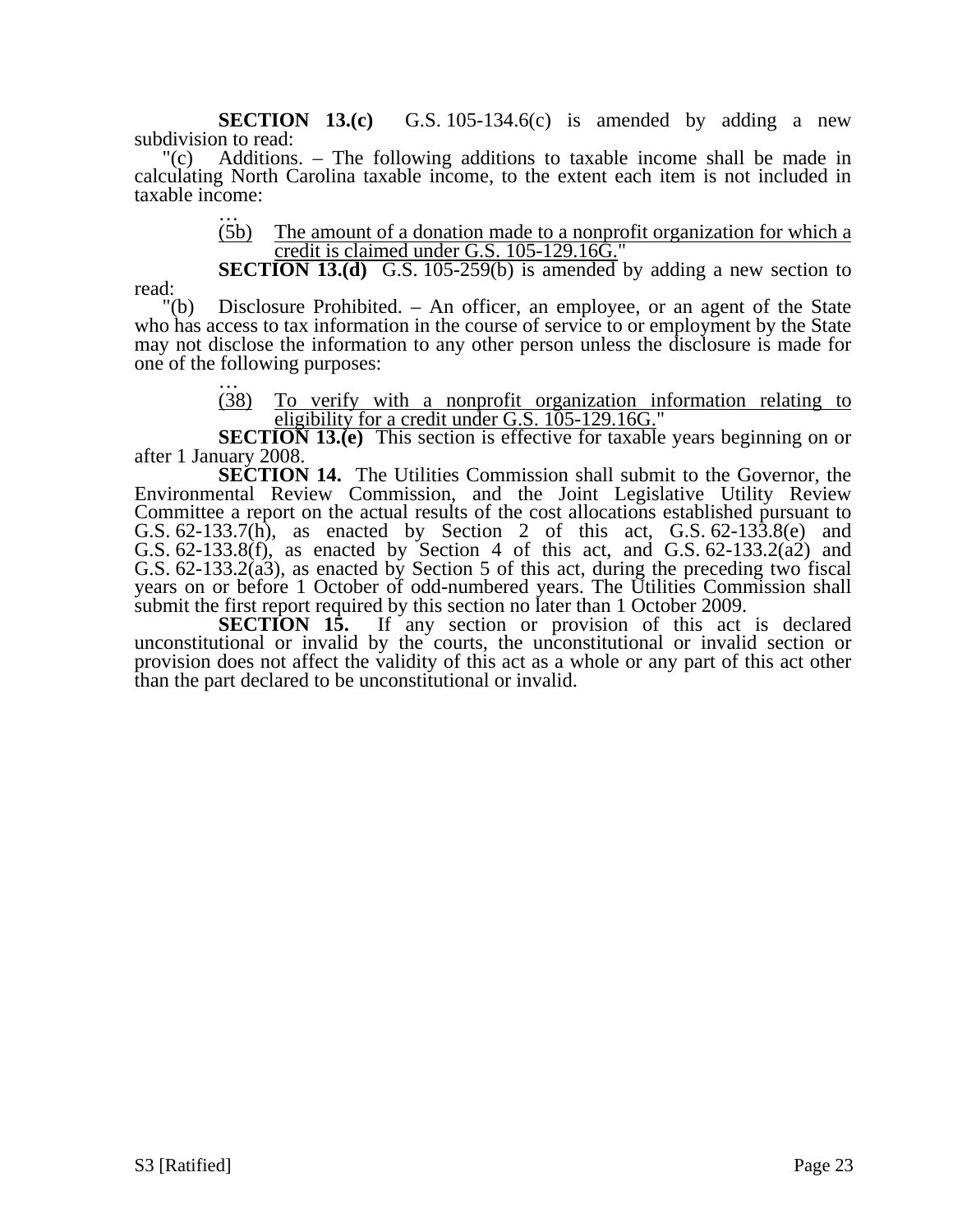**SECTION 13.(c)** G.S. 105-134.6(c) is amended by adding a new subdivision to read:

"(c) Additions. – The following additions to taxable income shall be made in calculating North Carolina taxable income, to the extent each item is not included in taxable income:

> (5b) The amount of a donation made to a nonprofit organization for which a credit is claimed under G.S. 105-129.16G."

**SECTION 13.(d)** G.S. 105-259(b) is amended by adding a new section to

read:

"(b) Disclosure Prohibited. – An officer, an employee, or an agent of the State who has access to tax information in the course of service to or employment by the State may not disclose the information to any other person unless the disclosure is made for one of the following purposes:<br>  $\frac{1}{(38)}$  To verify w

(38) To verify with a nonprofit organization information relating to eligibility for a credit under G.S. 105-129.16G."

**SECTION 13.(e)** This section is effective for taxable years beginning on or after 1 January 2008.

**SECTION 14.** The Utilities Commission shall submit to the Governor, the Environmental Review Commission, and the Joint Legislative Utility Review Committee a report on the actual results of the cost allocations established pursuant to G.S. 62-133.7(h), as enacted by Section 2 of this act, G.S. 62-133.8(e) and G.S. 62-133.8(f), as enacted by Section 4 of this act, and G.S. 62-133.2( $\alpha$ 2) and G.S.  $62-133.2(a3)$ , as enacted by Section 5 of this act, during the preceding two fiscal years on or before 1 October of odd-numbered years. The Utilities Commission shall submit the first report required by this section no later than 1 October 2009.

**SECTION 15.** If any section or provision of this act is declared unconstitutional or invalid by the courts, the unconstitutional or invalid section or provision does not affect the validity of this act as a whole or any part of this act other than the part declared to be unconstitutional or invalid.